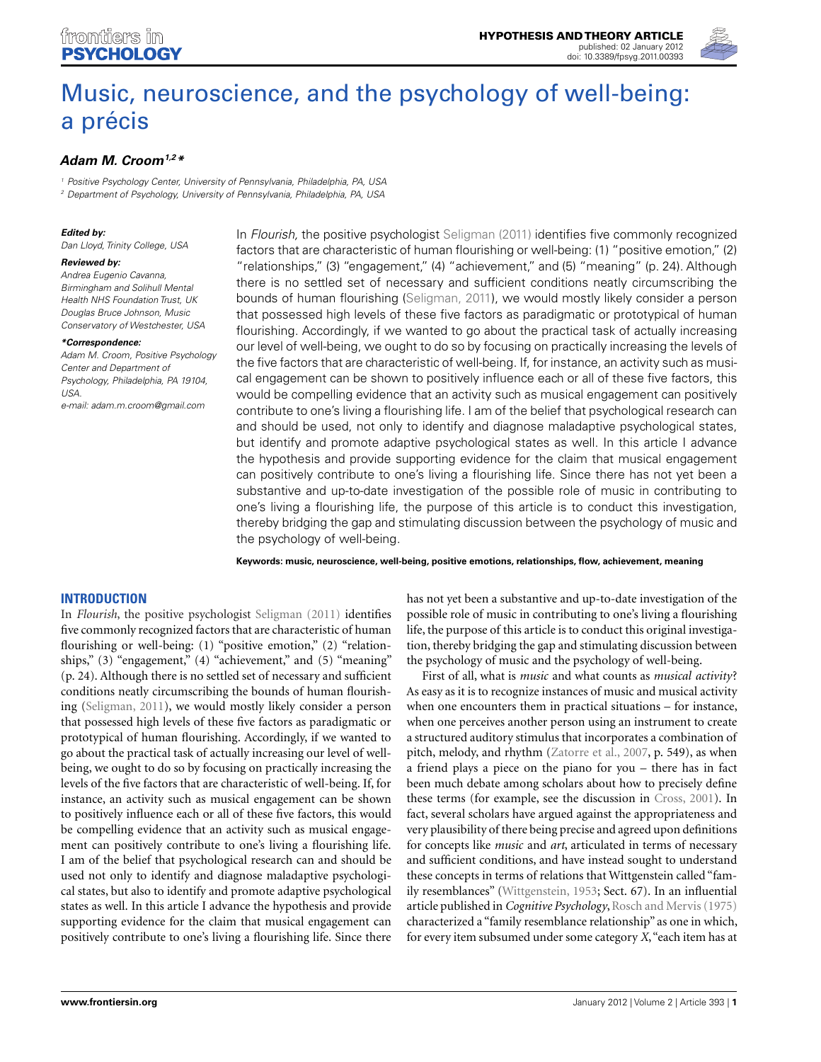

# [Music, neuroscience, and the psychology of well-being:](http://www.frontiersin.org/Theoretical_and_Philosophical_Psychology/10.3389/fpsyg.2012.00393/abstract) a précis

# **[Adam M. Croom1](http://www.frontiersin.org/Community/WhosWhoDetails.aspx?UID=40313&d=1&sname=AdamCroom&name=Science),2\***

<sup>1</sup> Positive Psychology Center, University of Pennsylvania, Philadelphia, PA, USA

<sup>2</sup> Department of Psychology, University of Pennsylvania, Philadelphia, PA, USA

### **Edited by:**

Dan Lloyd, Trinity College, USA

#### **Reviewed by:**

Andrea Eugenio Cavanna, Birmingham and Solihull Mental Health NHS Foundation Trust, UK Douglas Bruce Johnson, Music Conservatory of Westchester, USA

#### **\*Correspondence:**

Adam M. Croom, Positive Psychology Center and Department of Psychology, Philadelphia, PA 19104, USA. e-mail: [adam.m.croom@gmail.com](mailto:adam.m.croom@gmail.com)

In Flourish, the positive psychologist [Seligman](#page-13-0) [\(2011\)](#page-13-0) identifies five commonly recognized factors that are characteristic of human flourishing or well-being: (1) "positive emotion," (2) "relationships," (3) "engagement," (4) "achievement," and (5) "meaning" (p. 24). Although there is no settled set of necessary and sufficient conditions neatly circumscribing the bounds of human flourishing [\(Seligman, 2011\)](#page-13-0), we would mostly likely consider a person that possessed high levels of these five factors as paradigmatic or prototypical of human flourishing. Accordingly, if we wanted to go about the practical task of actually increasing our level of well-being, we ought to do so by focusing on practically increasing the levels of the five factors that are characteristic of well-being. If, for instance, an activity such as musical engagement can be shown to positively influence each or all of these five factors, this would be compelling evidence that an activity such as musical engagement can positively contribute to one's living a flourishing life. I am of the belief that psychological research can and should be used, not only to identify and diagnose maladaptive psychological states, but identify and promote adaptive psychological states as well. In this article I advance the hypothesis and provide supporting evidence for the claim that musical engagement can positively contribute to one's living a flourishing life. Since there has not yet been a substantive and up-to-date investigation of the possible role of music in contributing to one's living a flourishing life, the purpose of this article is to conduct this investigation, thereby bridging the gap and stimulating discussion between the psychology of music and the psychology of well-being.

**Keywords: music, neuroscience, well-being, positive emotions, relationships, flow, achievement, meaning**

## **INTRODUCTION**

In *Flourish*, the positive psychologist [Seligman](#page-13-0) [\(2011\)](#page-13-0) identifies five commonly recognized factors that are characteristic of human flourishing or well-being: (1) "positive emotion," (2) "relationships," (3) "engagement," (4) "achievement," and (5) "meaning" (p. 24). Although there is no settled set of necessary and sufficient conditions neatly circumscribing the bounds of human flourishing [\(Seligman](#page-13-0), [2011](#page-13-0)), we would mostly likely consider a person that possessed high levels of these five factors as paradigmatic or prototypical of human flourishing. Accordingly, if we wanted to go about the practical task of actually increasing our level of wellbeing, we ought to do so by focusing on practically increasing the levels of the five factors that are characteristic of well-being. If, for instance, an activity such as musical engagement can be shown to positively influence each or all of these five factors, this would be compelling evidence that an activity such as musical engagement can positively contribute to one's living a flourishing life. I am of the belief that psychological research can and should be used not only to identify and diagnose maladaptive psychological states, but also to identify and promote adaptive psychological states as well. In this article I advance the hypothesis and provide supporting evidence for the claim that musical engagement can positively contribute to one's living a flourishing life. Since there

has not yet been a substantive and up-to-date investigation of the possible role of music in contributing to one's living a flourishing life, the purpose of this article is to conduct this original investigation, thereby bridging the gap and stimulating discussion between the psychology of music and the psychology of well-being.

First of all, what is *music* and what counts as *musical activity*? As easy as it is to recognize instances of music and musical activity when one encounters them in practical situations – for instance, when one perceives another person using an instrument to create a structured auditory stimulus that incorporates a combination of pitch, melody, and rhythm [\(Zatorre et al.](#page-14-0), [2007](#page-14-0), p. 549), as when a friend plays a piece on the piano for you – there has in fact been much debate among scholars about how to precisely define these terms (for example, see the discussion in [Cross](#page-11-0), [2001\)](#page-11-0). In fact, several scholars have argued against the appropriateness and very plausibility of there being precise and agreed upon definitions for concepts like *music* and *art*, articulated in terms of necessary and sufficient conditions, and have instead sought to understand these concepts in terms of relations that Wittgenstein called "family resemblances" [\(Wittgenstein, 1953;](#page-13-0) Sect. 67). In an influential article published in *Cognitive Psychology*, Rosch and Mervis [\(1975](#page-13-0)) characterized a "family resemblance relationship" as one in which, for every item subsumed under some category *X*,"each item has at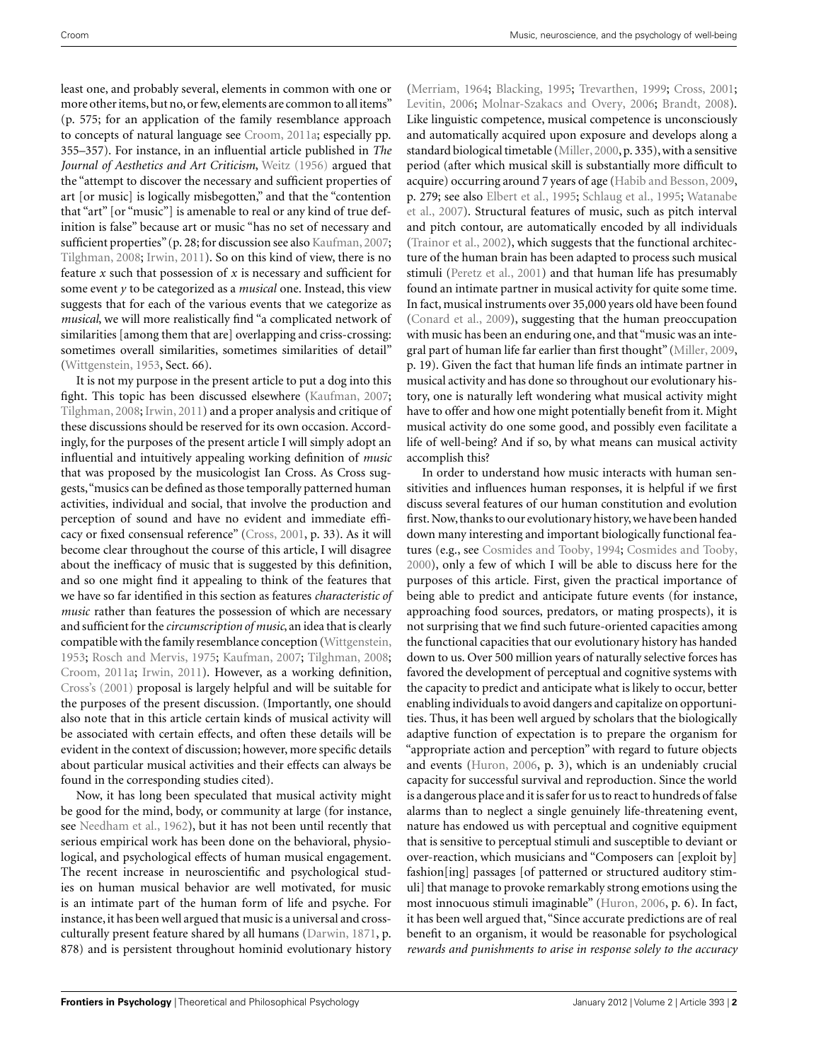least one, and probably several, elements in common with one or more other items, but no, or few, elements are common to all items" (p. 575; for an application of the family resemblance approach to concepts of natural language see [Croom](#page-11-0), [2011a](#page-11-0); especially pp. 355–357). For instance, in an influential article published in *The Journal of Aesthetics and Art Criticism*, [Weitz](#page-13-0) [\(1956](#page-13-0)) argued that the "attempt to discover the necessary and sufficient properties of art [or music] is logically misbegotten," and that the "contention that "art" [or "music"] is amenable to real or any kind of true definition is false" because art or music "has no set of necessary and sufficient properties" (p. 28; for discussion see also [Kaufman](#page-12-0), [2007;](#page-12-0) [Tilghman](#page-13-0), [2008;](#page-13-0) [Irwin](#page-12-0), [2011\)](#page-12-0). So on this kind of view, there is no feature *x* such that possession of *x* is necessary and sufficient for some event *y* to be categorized as a *musical* one. Instead, this view suggests that for each of the various events that we categorize as *musical*, we will more realistically find "a complicated network of similarities [among them that are] overlapping and criss-crossing: sometimes overall similarities, sometimes similarities of detail" [\(Wittgenstein, 1953](#page-13-0), Sect. 66).

It is not my purpose in the present article to put a dog into this fight. This topic has been discussed elsewhere [\(Kaufman](#page-12-0), [2007;](#page-12-0) [Tilghman](#page-13-0), [2008](#page-13-0); [Irwin](#page-12-0), [2011](#page-12-0)) and a proper analysis and critique of these discussions should be reserved for its own occasion. Accordingly, for the purposes of the present article I will simply adopt an influential and intuitively appealing working definition of *music* that was proposed by the musicologist Ian Cross. As Cross suggests,"musics can be defined as those temporally patterned human activities, individual and social, that involve the production and perception of sound and have no evident and immediate efficacy or fixed consensual reference" [\(Cross](#page-11-0), [2001](#page-11-0), p. 33). As it will become clear throughout the course of this article, I will disagree about the inefficacy of music that is suggested by this definition, and so one might find it appealing to think of the features that we have so far identified in this section as features *characteristic of music* rather than features the possession of which are necessary and sufficient for the *circumscription of music*, an idea that is clearly compatible with the family resemblance conception [\(Wittgenstein,](#page-13-0) [1953;](#page-13-0) [Rosch and Mervis, 1975](#page-13-0); [Kaufman](#page-12-0), [2007](#page-12-0); [Tilghman, 2008;](#page-13-0) [Croom](#page-11-0), [2011a](#page-11-0); [Irwin](#page-12-0), [2011\)](#page-12-0). However, as a working definition, [Cross's](#page-14-0) [\(2001\)](#page-14-0) proposal is largely helpful and will be suitable for the purposes of the present discussion. (Importantly, one should also note that in this article certain kinds of musical activity will be associated with certain effects, and often these details will be evident in the context of discussion; however, more specific details about particular musical activities and their effects can always be found in the corresponding studies cited).

Now, it has long been speculated that musical activity might be good for the mind, body, or community at large (for instance, see [Needham et al.](#page-12-0), [1962](#page-12-0)), but it has not been until recently that serious empirical work has been done on the behavioral, physiological, and psychological effects of human musical engagement. The recent increase in neuroscientific and psychological studies on human musical behavior are well motivated, for music is an intimate part of the human form of life and psyche. For instance, it has been well argued that music is a universal and crossculturally present feature shared by all humans [\(Darwin, 1871](#page-11-0), p. 878) and is persistent throughout hominid evolutionary history

[\(Merriam, 1964](#page-12-0); [Blacking, 1995](#page-10-0); [Trevarthen](#page-13-0), [1999](#page-13-0); [Cross, 2001;](#page-11-0) [Levitin, 2006;](#page-12-0) [Molnar-Szakacs and Overy](#page-12-0), [2006](#page-12-0); [Brandt](#page-10-0), [2008](#page-10-0)). Like linguistic competence, musical competence is unconsciously and automatically acquired upon exposure and develops along a standard biological timetable [\(Miller, 2000](#page-12-0), p. 335), with a sensitive period (after which musical skill is substantially more difficult to acquire) occurring around 7 years of age [\(Habib and Besson](#page-11-0), [2009,](#page-11-0) p. 279; see also [Elbert et al., 1995;](#page-11-0) [Schlaug et al.](#page-13-0), [1995;](#page-13-0) Watanabe et al., [2007\)](#page-13-0). Structural features of music, such as pitch interval and pitch contour, are automatically encoded by all individuals [\(Trainor et al., 2002\)](#page-13-0), which suggests that the functional architecture of the human brain has been adapted to process such musical stimuli [\(Peretz et al., 2001](#page-13-0)) and that human life has presumably found an intimate partner in musical activity for quite some time. In fact, musical instruments over 35,000 years old have been found [\(Conard et al.](#page-11-0), [2009\)](#page-11-0), suggesting that the human preoccupation with music has been an enduring one, and that "music was an integral part of human life far earlier than first thought" [\(Miller, 2009,](#page-12-0) p. 19). Given the fact that human life finds an intimate partner in musical activity and has done so throughout our evolutionary history, one is naturally left wondering what musical activity might have to offer and how one might potentially benefit from it. Might musical activity do one some good, and possibly even facilitate a life of well-being? And if so, by what means can musical activity accomplish this?

In order to understand how music interacts with human sensitivities and influences human responses, it is helpful if we first discuss several features of our human constitution and evolution first. Now, thanks to our evolutionary history, we have been handed down many interesting and important biologically functional features (e.g., see [Cosmides and Tooby](#page-11-0), [1994;](#page-11-0) [Cosmides and Tooby,](#page-11-0) [2000\)](#page-11-0), only a few of which I will be able to discuss here for the purposes of this article. First, given the practical importance of being able to predict and anticipate future events (for instance, approaching food sources, predators, or mating prospects), it is not surprising that we find such future-oriented capacities among the functional capacities that our evolutionary history has handed down to us. Over 500 million years of naturally selective forces has favored the development of perceptual and cognitive systems with the capacity to predict and anticipate what is likely to occur, better enabling individuals to avoid dangers and capitalize on opportunities. Thus, it has been well argued by scholars that the biologically adaptive function of expectation is to prepare the organism for "appropriate action and perception" with regard to future objects and events [\(Huron](#page-12-0), [2006,](#page-12-0) p. 3), which is an undeniably crucial capacity for successful survival and reproduction. Since the world is a dangerous place and it is safer for us to react to hundreds of false alarms than to neglect a single genuinely life-threatening event, nature has endowed us with perceptual and cognitive equipment that is sensitive to perceptual stimuli and susceptible to deviant or over-reaction, which musicians and "Composers can [exploit by] fashion[ing] passages [of patterned or structured auditory stimuli] that manage to provoke remarkably strong emotions using the most innocuous stimuli imaginable" [\(Huron, 2006](#page-12-0), p. 6). In fact, it has been well argued that, "Since accurate predictions are of real benefit to an organism, it would be reasonable for psychological *rewards and punishments to arise in response solely to the accuracy*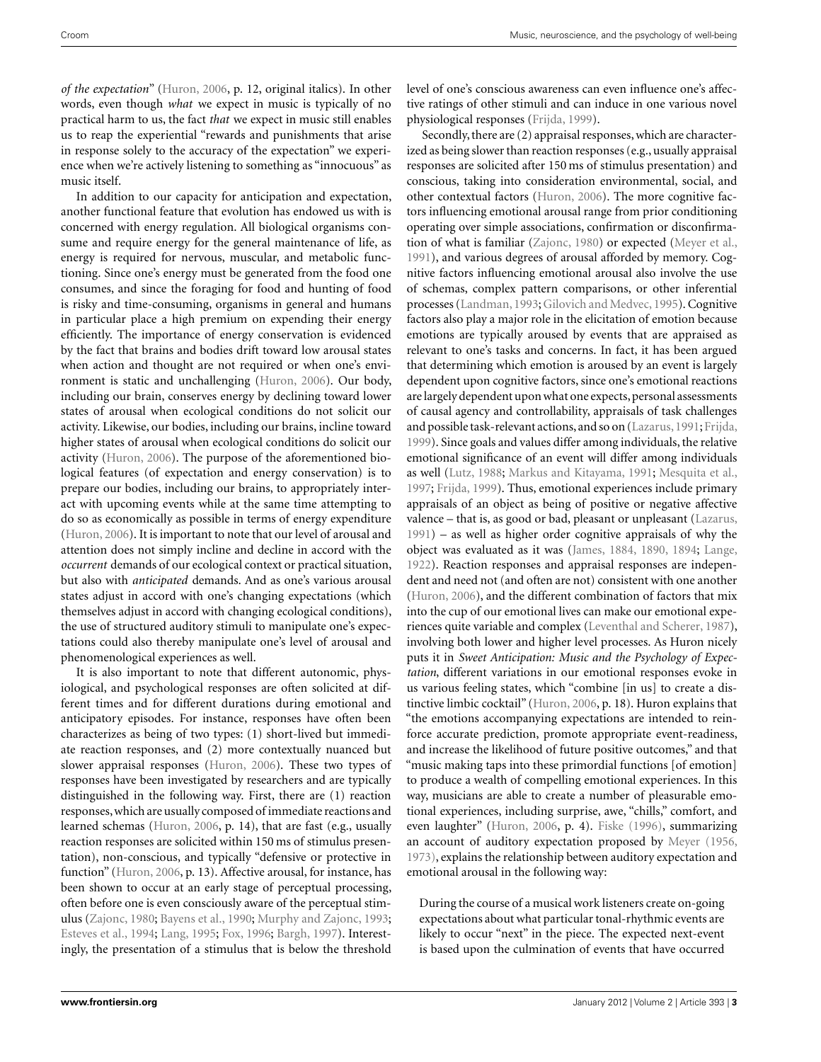*of the expectation*" [\(Huron](#page-12-0), [2006](#page-12-0), p. 12, original italics). In other words, even though *what* we expect in music is typically of no practical harm to us, the fact *that* we expect in music still enables us to reap the experiential "rewards and punishments that arise in response solely to the accuracy of the expectation" we experience when we're actively listening to something as "innocuous" as music itself.

In addition to our capacity for anticipation and expectation, another functional feature that evolution has endowed us with is concerned with energy regulation. All biological organisms consume and require energy for the general maintenance of life, as energy is required for nervous, muscular, and metabolic functioning. Since one's energy must be generated from the food one consumes, and since the foraging for food and hunting of food is risky and time-consuming, organisms in general and humans in particular place a high premium on expending their energy efficiently. The importance of energy conservation is evidenced by the fact that brains and bodies drift toward low arousal states when action and thought are not required or when one's environment is static and unchallenging [\(Huron](#page-12-0), [2006\)](#page-12-0). Our body, including our brain, conserves energy by declining toward lower states of arousal when ecological conditions do not solicit our activity. Likewise, our bodies, including our brains, incline toward higher states of arousal when ecological conditions do solicit our activity [\(Huron, 2006\)](#page-12-0). The purpose of the aforementioned biological features (of expectation and energy conservation) is to prepare our bodies, including our brains, to appropriately interact with upcoming events while at the same time attempting to do so as economically as possible in terms of energy expenditure [\(Huron](#page-12-0), [2006](#page-12-0)). It is important to note that our level of arousal and attention does not simply incline and decline in accord with the *occurrent* demands of our ecological context or practical situation, but also with *anticipated* demands. And as one's various arousal states adjust in accord with one's changing expectations (which themselves adjust in accord with changing ecological conditions), the use of structured auditory stimuli to manipulate one's expectations could also thereby manipulate one's level of arousal and phenomenological experiences as well.

It is also important to note that different autonomic, physiological, and psychological responses are often solicited at different times and for different durations during emotional and anticipatory episodes. For instance, responses have often been characterizes as being of two types: (1) short-lived but immediate reaction responses, and (2) more contextually nuanced but slower appraisal responses [\(Huron](#page-12-0), [2006\)](#page-12-0). These two types of responses have been investigated by researchers and are typically distinguished in the following way. First, there are (1) reaction responses,which are usually composed of immediate reactions and learned schemas [\(Huron, 2006,](#page-12-0) p. 14), that are fast (e.g., usually reaction responses are solicited within 150 ms of stimulus presentation), non-conscious, and typically "defensive or protective in function" [\(Huron](#page-12-0), [2006](#page-12-0), p. 13). Affective arousal, for instance, has been shown to occur at an early stage of perceptual processing, often before one is even consciously aware of the perceptual stimulus [\(Zajonc](#page-13-0), [1980](#page-13-0); [Bayens et al., 1990;](#page-10-0) [Murphy and Zajonc](#page-12-0), [1993;](#page-12-0) [Esteves et al., 1994](#page-11-0); [Lang, 1995](#page-12-0); [Fox](#page-11-0), [1996;](#page-11-0) [Bargh](#page-10-0), [1997\)](#page-10-0). Interestingly, the presentation of a stimulus that is below the threshold level of one's conscious awareness can even influence one's affective ratings of other stimuli and can induce in one various novel physiological responses [\(Frijda, 1999\)](#page-11-0).

Secondly, there are (2) appraisal responses, which are characterized as being slower than reaction responses (e.g., usually appraisal responses are solicited after 150 ms of stimulus presentation) and conscious, taking into consideration environmental, social, and other contextual factors [\(Huron](#page-12-0), [2006](#page-12-0)). The more cognitive factors influencing emotional arousal range from prior conditioning operating over simple associations, confirmation or disconfirmation of what is familiar [\(Zajonc, 1980\)](#page-13-0) or expected [\(Meyer et al.,](#page-12-0) [1991\)](#page-12-0), and various degrees of arousal afforded by memory. Cognitive factors influencing emotional arousal also involve the use of schemas, complex pattern comparisons, or other inferential processes [\(Landman, 1993;](#page-12-0) [Gilovich and Medvec](#page-11-0), [1995\)](#page-11-0). Cognitive factors also play a major role in the elicitation of emotion because emotions are typically aroused by events that are appraised as relevant to one's tasks and concerns. In fact, it has been argued that determining which emotion is aroused by an event is largely dependent upon cognitive factors, since one's emotional reactions are largely dependent upon what one expects, personal assessments of causal agency and controllability, appraisals of task challenges and possible task-relevant actions, and so on [\(Lazarus](#page-12-0),[1991;](#page-12-0) [Frijda,](#page-11-0) [1999\)](#page-11-0). Since goals and values differ among individuals, the relative emotional significance of an event will differ among individuals as well [\(Lutz, 1988;](#page-12-0) [Markus and Kitayama, 1991;](#page-12-0) [Mesquita et al.,](#page-12-0) [1997;](#page-12-0) [Frijda](#page-11-0), [1999\)](#page-11-0). Thus, emotional experiences include primary appraisals of an object as being of positive or negative affective valence – that is, as good or bad, pleasant or unpleasant [\(Lazarus,](#page-12-0) [1991\)](#page-12-0) – as well as higher order cognitive appraisals of why the object was evaluated as it was [\(James](#page-12-0), [1884, 1890](#page-12-0), [1894;](#page-12-0) [Lange,](#page-12-0) [1922\)](#page-12-0). Reaction responses and appraisal responses are independent and need not (and often are not) consistent with one another [\(Huron](#page-12-0), [2006\)](#page-12-0), and the different combination of factors that mix into the cup of our emotional lives can make our emotional experiences quite variable and complex [\(Leventhal and Scherer](#page-12-0), [1987](#page-12-0)), involving both lower and higher level processes. As Huron nicely puts it in *Sweet Anticipation: Music and the Psychology of Expectation*, different variations in our emotional responses evoke in us various feeling states, which "combine [in us] to create a distinctive limbic cocktail" [\(Huron, 2006](#page-12-0), p. 18). Huron explains that "the emotions accompanying expectations are intended to reinforce accurate prediction, promote appropriate event-readiness, and increase the likelihood of future positive outcomes," and that "music making taps into these primordial functions [of emotion] to produce a wealth of compelling emotional experiences. In this way, musicians are able to create a number of pleasurable emotional experiences, including surprise, awe, "chills," comfort, and even laughter" [\(Huron, 2006,](#page-12-0) p. 4). [Fiske](#page-11-0) [\(1996\)](#page-11-0), summarizing an account of auditory expectation proposed by [Meyer](#page-12-0) [\(1956,](#page-12-0) [1973\)](#page-12-0), explains the relationship between auditory expectation and emotional arousal in the following way:

During the course of a musical work listeners create on-going expectations about what particular tonal-rhythmic events are likely to occur "next" in the piece. The expected next-event is based upon the culmination of events that have occurred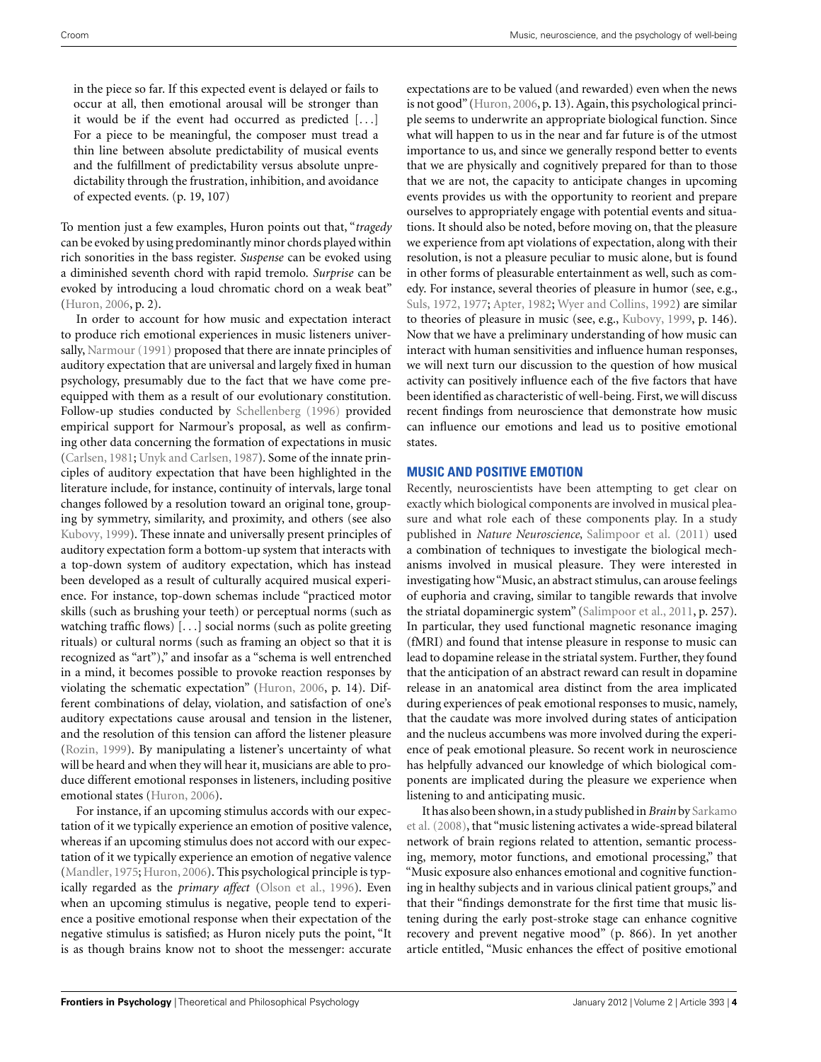in the piece so far. If this expected event is delayed or fails to occur at all, then emotional arousal will be stronger than it would be if the event had occurred as predicted [...] For a piece to be meaningful, the composer must tread a thin line between absolute predictability of musical events and the fulfillment of predictability versus absolute unpredictability through the frustration, inhibition, and avoidance of expected events. (p. 19, 107)

To mention just a few examples, Huron points out that, "*tragedy* can be evoked by using predominantly minor chords played within rich sonorities in the bass register. *Suspense* can be evoked using a diminished seventh chord with rapid tremolo. *Surprise* can be evoked by introducing a loud chromatic chord on a weak beat" [\(Huron](#page-12-0), [2006,](#page-12-0) p. 2).

In order to account for how music and expectation interact to produce rich emotional experiences in music listeners universally, [Narmour](#page-12-0) [\(1991](#page-12-0)) proposed that there are innate principles of auditory expectation that are universal and largely fixed in human psychology, presumably due to the fact that we have come preequipped with them as a result of our evolutionary constitution. Follow-up studies conducted by [Schellenberg](#page-13-0) [\(1996](#page-13-0)) provided empirical support for Narmour's proposal, as well as confirming other data concerning the formation of expectations in music [\(Carlsen, 1981;](#page-10-0) [Unyk and Carlsen, 1987\)](#page-13-0). Some of the innate principles of auditory expectation that have been highlighted in the literature include, for instance, continuity of intervals, large tonal changes followed by a resolution toward an original tone, grouping by symmetry, similarity, and proximity, and others (see also [Kubovy](#page-12-0), [1999\)](#page-12-0). These innate and universally present principles of auditory expectation form a bottom-up system that interacts with a top-down system of auditory expectation, which has instead been developed as a result of culturally acquired musical experience. For instance, top-down schemas include "practiced motor skills (such as brushing your teeth) or perceptual norms (such as watching traffic flows) [...] social norms (such as polite greeting rituals) or cultural norms (such as framing an object so that it is recognized as "art")," and insofar as a "schema is well entrenched in a mind, it becomes possible to provoke reaction responses by violating the schematic expectation" [\(Huron](#page-12-0), [2006,](#page-12-0) p. 14). Different combinations of delay, violation, and satisfaction of one's auditory expectations cause arousal and tension in the listener, and the resolution of this tension can afford the listener pleasure [\(Rozin](#page-13-0), [1999\)](#page-13-0). By manipulating a listener's uncertainty of what will be heard and when they will hear it, musicians are able to produce different emotional responses in listeners, including positive emotional states [\(Huron, 2006](#page-12-0)).

For instance, if an upcoming stimulus accords with our expectation of it we typically experience an emotion of positive valence, whereas if an upcoming stimulus does not accord with our expectation of it we typically experience an emotion of negative valence [\(Mandler](#page-12-0), [1975](#page-12-0); [Huron](#page-12-0), [2006](#page-12-0)). This psychological principle is typically regarded as the *primary affect* [\(Olson et al.](#page-12-0), [1996](#page-12-0)). Even when an upcoming stimulus is negative, people tend to experience a positive emotional response when their expectation of the negative stimulus is satisfied; as Huron nicely puts the point, "It is as though brains know not to shoot the messenger: accurate

expectations are to be valued (and rewarded) even when the news is not good" [\(Huron, 2006,](#page-12-0) p. 13). Again, this psychological principle seems to underwrite an appropriate biological function. Since what will happen to us in the near and far future is of the utmost importance to us, and since we generally respond better to events that we are physically and cognitively prepared for than to those that we are not, the capacity to anticipate changes in upcoming events provides us with the opportunity to reorient and prepare ourselves to appropriately engage with potential events and situations. It should also be noted, before moving on, that the pleasure we experience from apt violations of expectation, along with their resolution, is not a pleasure peculiar to music alone, but is found in other forms of pleasurable entertainment as well, such as comedy. For instance, several theories of pleasure in humor (see, e.g., [Suls, 1972](#page-13-0), [1977;](#page-13-0) [Apter](#page-10-0), [1982;](#page-10-0) [Wyer and Collins, 1992](#page-13-0)) are similar to theories of pleasure in music (see, e.g., [Kubovy](#page-12-0), [1999](#page-12-0), p. 146). Now that we have a preliminary understanding of how music can interact with human sensitivities and influence human responses, we will next turn our discussion to the question of how musical activity can positively influence each of the five factors that have been identified as characteristic of well-being. First, we will discuss recent findings from neuroscience that demonstrate how music can influence our emotions and lead us to positive emotional states.

## **MUSIC AND POSITIVE EMOTION**

Recently, neuroscientists have been attempting to get clear on exactly which biological components are involved in musical pleasure and what role each of these components play. In a study published in *Nature Neuroscience*, [Salimpoor et al.](#page-13-0) [\(2011](#page-13-0)) used a combination of techniques to investigate the biological mechanisms involved in musical pleasure. They were interested in investigating how "Music, an abstract stimulus, can arouse feelings of euphoria and craving, similar to tangible rewards that involve the striatal dopaminergic system" [\(Salimpoor et al., 2011](#page-13-0), p. 257). In particular, they used functional magnetic resonance imaging (fMRI) and found that intense pleasure in response to music can lead to dopamine release in the striatal system. Further, they found that the anticipation of an abstract reward can result in dopamine release in an anatomical area distinct from the area implicated during experiences of peak emotional responses to music, namely, that the caudate was more involved during states of anticipation and the nucleus accumbens was more involved during the experience of peak emotional pleasure. So recent work in neuroscience has helpfully advanced our knowledge of which biological components are implicated during the pleasure we experience when listening to and anticipating music.

It has also been shown, in a study published in *Brain* by Sarkamo et al. [\(2008\)](#page-13-0), that "music listening activates a wide-spread bilateral network of brain regions related to attention, semantic processing, memory, motor functions, and emotional processing," that "Music exposure also enhances emotional and cognitive functioning in healthy subjects and in various clinical patient groups," and that their "findings demonstrate for the first time that music listening during the early post-stroke stage can enhance cognitive recovery and prevent negative mood" (p. 866). In yet another article entitled, "Music enhances the effect of positive emotional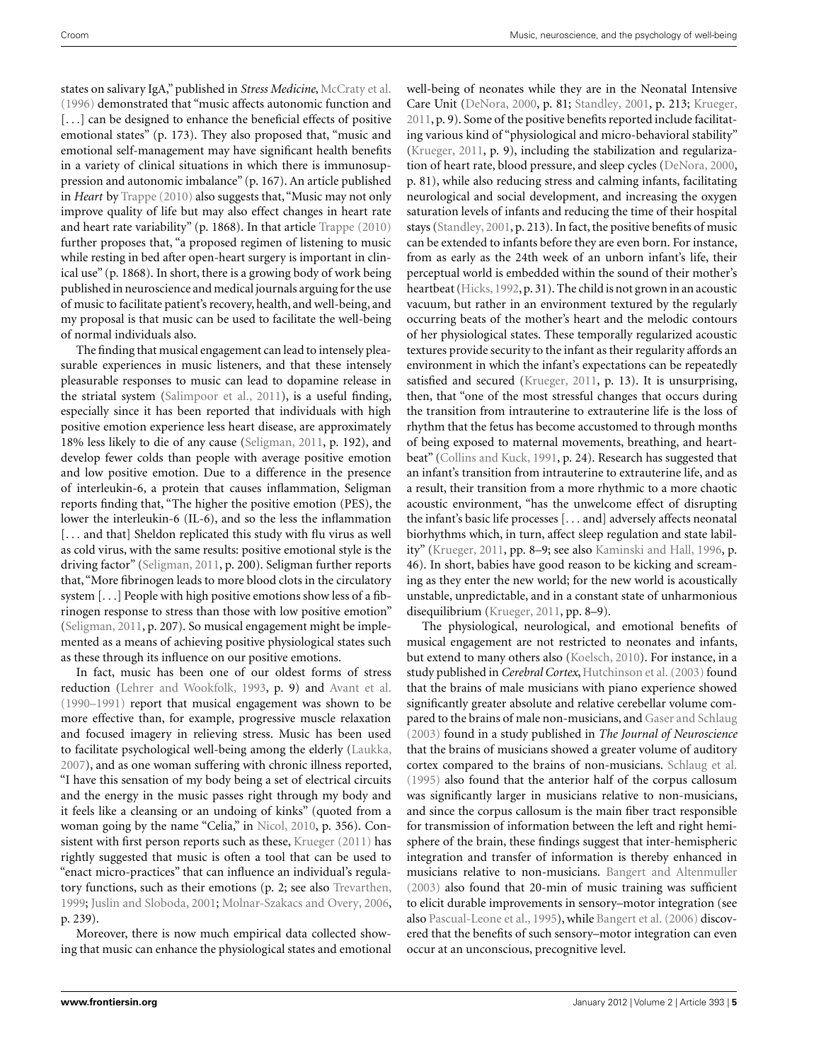states on salivary IgA," published in *Stress Medicine*, [McCraty et al.](#page-12-0) [\(1996](#page-12-0)) demonstrated that "music affects autonomic function and [...] can be designed to enhance the beneficial effects of positive emotional states" (p. 173). They also proposed that, "music and emotional self-management may have significant health benefits in a variety of clinical situations in which there is immunosuppression and autonomic imbalance" (p. 167). An article published in *Heart* by [Trappe](#page-13-0) [\(2010](#page-13-0)) also suggests that, "Music may not only improve quality of life but may also effect changes in heart rate and heart rate variability" (p. 1868). In that article [Trappe](#page-13-0) [\(2010](#page-13-0)) further proposes that, "a proposed regimen of listening to music while resting in bed after open-heart surgery is important in clinical use" (p. 1868). In short, there is a growing body of work being published in neuroscience and medical journals arguing for the use of music to facilitate patient's recovery, health, and well-being, and my proposal is that music can be used to facilitate the well-being of normal individuals also.

The finding that musical engagement can lead to intensely pleasurable experiences in music listeners, and that these intensely pleasurable responses to music can lead to dopamine release in the striatal system [\(Salimpoor et al., 2011\)](#page-13-0), is a useful finding, especially since it has been reported that individuals with high positive emotion experience less heart disease, are approximately 18% less likely to die of any cause [\(Seligman, 2011,](#page-13-0) p. 192), and develop fewer colds than people with average positive emotion and low positive emotion. Due to a difference in the presence of interleukin-6, a protein that causes inflammation, Seligman reports finding that, "The higher the positive emotion (PES), the lower the interleukin-6 (IL-6), and so the less the inflammation [... and that] Sheldon replicated this study with flu virus as well as cold virus, with the same results: positive emotional style is the driving factor" [\(Seligman](#page-13-0), [2011,](#page-13-0) p. 200). Seligman further reports that, "More fibrinogen leads to more blood clots in the circulatory system [...] People with high positive emotions show less of a fibrinogen response to stress than those with low positive emotion" [\(Seligman, 2011](#page-13-0), p. 207). So musical engagement might be implemented as a means of achieving positive physiological states such as these through its influence on our positive emotions.

In fact, music has been one of our oldest forms of stress reduction [\(Lehrer and Wookfolk](#page-12-0), [1993](#page-12-0), p. 9) and [Avant et al.](#page-10-0) [\(1990–1991\)](#page-10-0) report that musical engagement was shown to be more effective than, for example, progressive muscle relaxation and focused imagery in relieving stress. Music has been used to facilitate psychological well-being among the elderly [\(Laukka,](#page-12-0) [2007\)](#page-12-0), and as one woman suffering with chronic illness reported, "I have this sensation of my body being a set of electrical circuits and the energy in the music passes right through my body and it feels like a cleansing or an undoing of kinks" (quoted from a woman going by the name "Celia," in [Nicol](#page-12-0), [2010](#page-12-0), p. 356). Consistent with first person reports such as these, [Krueger](#page-12-0) [\(2011\)](#page-12-0) has rightly suggested that music is often a tool that can be used to "enact micro-practices" that can influence an individual's regulatory functions, such as their emotions (p. 2; see also [Trevarthen,](#page-13-0) [1999;](#page-13-0) [Juslin and Sloboda, 2001](#page-12-0); [Molnar-Szakacs and Overy, 2006,](#page-12-0) p. 239).

Moreover, there is now much empirical data collected showing that music can enhance the physiological states and emotional well-being of neonates while they are in the Neonatal Intensive Care Unit [\(DeNora](#page-11-0), [2000](#page-11-0), p. 81; [Standley](#page-13-0), [2001](#page-13-0), p. 213; [Krueger,](#page-12-0) [2011,](#page-12-0) p. 9). Some of the positive benefits reported include facilitating various kind of "physiological and micro-behavioral stability" [\(Krueger](#page-12-0), [2011](#page-12-0), p. 9), including the stabilization and regularization of heart rate, blood pressure, and sleep cycles [\(DeNora, 2000,](#page-11-0) p. 81), while also reducing stress and calming infants, facilitating neurological and social development, and increasing the oxygen saturation levels of infants and reducing the time of their hospital stays [\(Standley, 2001,](#page-13-0) p. 213). In fact, the positive benefits of music can be extended to infants before they are even born. For instance, from as early as the 24th week of an unborn infant's life, their perceptual world is embedded within the sound of their mother's heartbeat [\(Hicks, 1992](#page-12-0), p. 31). The child is not grown in an acoustic vacuum, but rather in an environment textured by the regularly occurring beats of the mother's heart and the melodic contours of her physiological states. These temporally regularized acoustic textures provide security to the infant as their regularity affords an environment in which the infant's expectations can be repeatedly satisfied and secured [\(Krueger, 2011](#page-12-0), p. 13). It is unsurprising, then, that "one of the most stressful changes that occurs during the transition from intrauterine to extrauterine life is the loss of rhythm that the fetus has become accustomed to through months of being exposed to maternal movements, breathing, and heartbeat" [\(Collins and Kuck](#page-11-0), [1991,](#page-11-0) p. 24). Research has suggested that an infant's transition from intrauterine to extrauterine life, and as a result, their transition from a more rhythmic to a more chaotic acoustic environment, "has the unwelcome effect of disrupting the infant's basic life processes [... and] adversely affects neonatal biorhythms which, in turn, affect sleep regulation and state lability" [\(Krueger](#page-12-0), [2011,](#page-12-0) pp. 8–9; see also [Kaminski and Hall, 1996](#page-12-0), p. 46). In short, babies have good reason to be kicking and screaming as they enter the new world; for the new world is acoustically unstable, unpredictable, and in a constant state of unharmonious disequilibrium [\(Krueger, 2011,](#page-12-0) pp. 8–9).

The physiological, neurological, and emotional benefits of musical engagement are not restricted to neonates and infants, but extend to many others also [\(Koelsch, 2010](#page-12-0)). For instance, in a study published in *Cerebral Cortex*, [Hutchinson et al.](#page-12-0) [\(2003\)](#page-12-0) found that the brains of male musicians with piano experience showed significantly greater absolute and relative cerebellar volume compared to the brains of male non-musicians, and [Gaser and Schlaug](#page-11-0) [\(2003](#page-11-0)) found in a study published in *The Journal of Neuroscience* that the brains of musicians showed a greater volume of auditory cortex compared to the brains of non-musicians. [Schlaug et al.](#page-13-0) [\(1995](#page-13-0)) also found that the anterior half of the corpus callosum was significantly larger in musicians relative to non-musicians, and since the corpus callosum is the main fiber tract responsible for transmission of information between the left and right hemisphere of the brain, these findings suggest that inter-hemispheric integration and transfer of information is thereby enhanced in musicians relative to non-musicians. [Bangert and Altenmuller](#page-10-0) [\(2003](#page-10-0)) also found that 20-min of music training was sufficient to elicit durable improvements in sensory–motor integration (see also [Pascual-Leone et al., 1995\)](#page-13-0), while [Bangert et al.](#page-10-0) [\(2006](#page-10-0)) discovered that the benefits of such sensory–motor integration can even occur at an unconscious, precognitive level.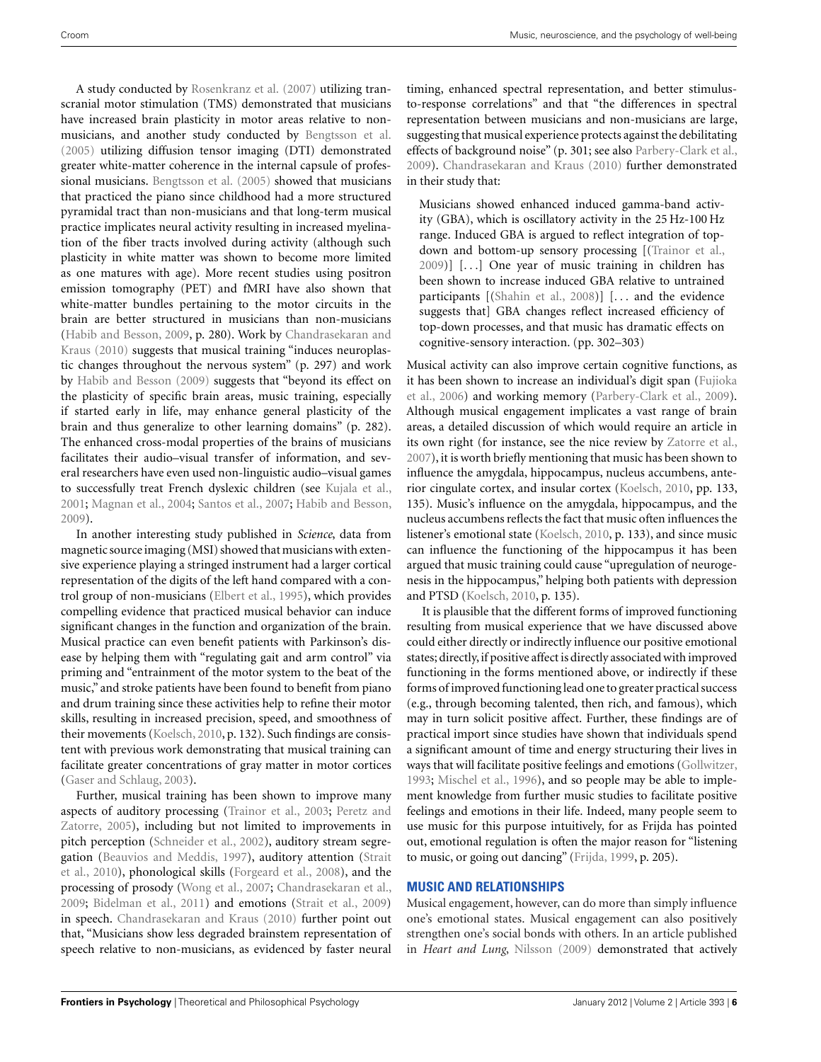A study conducted by [Rosenkranz et al.](#page-13-0) [\(2007](#page-13-0)) utilizing transcranial motor stimulation (TMS) demonstrated that musicians have increased brain plasticity in motor areas relative to nonmusicians, and another study conducted by [Bengtsson et al.](#page-10-0) [\(2005](#page-10-0)) utilizing diffusion tensor imaging (DTI) demonstrated greater white-matter coherence in the internal capsule of professional musicians. [Bengtsson et al.](#page-10-0) [\(2005](#page-10-0)) showed that musicians that practiced the piano since childhood had a more structured pyramidal tract than non-musicians and that long-term musical practice implicates neural activity resulting in increased myelination of the fiber tracts involved during activity (although such plasticity in white matter was shown to become more limited as one matures with age). More recent studies using positron emission tomography (PET) and fMRI have also shown that white-matter bundles pertaining to the motor circuits in the brain are better structured in musicians than non-musicians [\(Habib and Besson](#page-11-0)[,](#page-10-0) [2009](#page-11-0)[,](#page-10-0) [p.](#page-10-0) [280\).](#page-10-0) [Work](#page-10-0) [by](#page-10-0) Chandrasekaran and Kraus [\(2010](#page-10-0)) suggests that musical training "induces neuroplastic changes throughout the nervous system" (p. 297) and work by [Habib and Besson](#page-11-0) [\(2009\)](#page-11-0) suggests that "beyond its effect on the plasticity of specific brain areas, music training, especially if started early in life, may enhance general plasticity of the brain and thus generalize to other learning domains" (p. 282). The enhanced cross-modal properties of the brains of musicians facilitates their audio–visual transfer of information, and several researchers have even used non-linguistic audio–visual games to successfully treat French dyslexic children (see [Kujala et al.,](#page-12-0) [2001;](#page-12-0) [Magnan et al.](#page-12-0), [2004](#page-12-0); [Santos et al.](#page-13-0), [2007](#page-13-0); [Habib and Besson,](#page-11-0) [2009\)](#page-11-0).

In another interesting study published in *Science*, data from magnetic source imaging (MSI) showed that musicians with extensive experience playing a stringed instrument had a larger cortical representation of the digits of the left hand compared with a control group of non-musicians [\(Elbert et al.](#page-11-0), [1995](#page-11-0)), which provides compelling evidence that practiced musical behavior can induce significant changes in the function and organization of the brain. Musical practice can even benefit patients with Parkinson's disease by helping them with "regulating gait and arm control" via priming and "entrainment of the motor system to the beat of the music," and stroke patients have been found to benefit from piano and drum training since these activities help to refine their motor skills, resulting in increased precision, speed, and smoothness of their movements [\(Koelsch, 2010,](#page-12-0) p. 132). Such findings are consistent with previous work demonstrating that musical training can facilitate greater concentrations of gray matter in motor cortices [\(Gaser and Schlaug](#page-11-0), [2003\)](#page-11-0).

Further, musical training has been shown to improve many aspects [of auditory processing \(Trainor et al., 2003;](#page-13-0) Peretz and Zatorre, [2005](#page-13-0)), including but not limited to improvements in pitch perception [\(Schneider et al., 2002\)](#page-13-0), auditory stream segregati[on](#page-13-0) [\(Beauvios and Meddis](#page-10-0)[,](#page-13-0) [1997](#page-10-0)[\), auditory attention \(](#page-13-0)Strait et al., [2010\)](#page-13-0), phonological skills [\(Forgeard et al.](#page-11-0), [2008\)](#page-11-0), and the processing of prosody [\(Wong et al., 2007;](#page-13-0) [Chandrasekaran et al.,](#page-10-0) [2009;](#page-10-0) [Bidelman et al.](#page-10-0), [2011\)](#page-10-0) and emotions [\(Strait et al., 2009](#page-13-0)) in speech. [Chandrasekaran and Kraus](#page-10-0) [\(2010\)](#page-10-0) further point out that, "Musicians show less degraded brainstem representation of speech relative to non-musicians, as evidenced by faster neural

timing, enhanced spectral representation, and better stimulusto-response correlations" and that "the differences in spectral representation between musicians and non-musicians are large, suggesting that musical experience protects against the debilitating effects of background noise" (p. 301; see also [Parbery-Clark et al.,](#page-13-0) [2009\)](#page-13-0). [Chandrasekaran and Kraus](#page-10-0) [\(2010](#page-10-0)) further demonstrated in their study that:

Musicians showed enhanced induced gamma-band activity (GBA), which is oscillatory activity in the 25 Hz-100 Hz range. Induced GBA is argued to reflect integration of topdown and bottom-up sensory processing [[\(Trainor et al.](#page-13-0), [2009\)](#page-13-0)] [...] One year of music training in children has been shown to increase induced GBA relative to untrained participants [[\(Shahin et al.](#page-13-0), [2008\)](#page-13-0)] [... and the evidence suggests that] GBA changes reflect increased efficiency of top-down processes, and that music has dramatic effects on cognitive-sensory interaction. (pp. 302–303)

Musical activity can also improve certain cognitive functions, as it ha[s been shown to increase an individual's digit span \(](#page-11-0)Fujioka et al., [2006\)](#page-11-0) and working memory [\(Parbery-Clark et al., 2009](#page-13-0)). Although musical engagement implicates a vast range of brain areas, a detailed discussion of which would require an article in its own right (for instance, see the nice review by [Zatorre et al.,](#page-14-0) [2007\)](#page-14-0), it is worth briefly mentioning that music has been shown to influence the amygdala, hippocampus, nucleus accumbens, anterior cingulate cortex, and insular cortex [\(Koelsch, 2010,](#page-12-0) pp. 133, 135). Music's influence on the amygdala, hippocampus, and the nucleus accumbens reflects the fact that music often influences the listener's emotional state [\(Koelsch, 2010](#page-12-0), p. 133), and since music can influence the functioning of the hippocampus it has been argued that music training could cause "upregulation of neurogenesis in the hippocampus," helping both patients with depression and PTSD [\(Koelsch](#page-12-0), [2010,](#page-12-0) p. 135).

It is plausible that the different forms of improved functioning resulting from musical experience that we have discussed above could either directly or indirectly influence our positive emotional states; directly,if positive affect is directly associated with improved functioning in the forms mentioned above, or indirectly if these forms of improved functioning lead one to greater practical success (e.g., through becoming talented, then rich, and famous), which may in turn solicit positive affect. Further, these findings are of practical import since studies have shown that individuals spend a significant amount of time and energy structuring their lives in ways that will facilitate positive feelings and emotions [\(Gollwitzer,](#page-11-0) [1993;](#page-11-0) [Mischel et al., 1996\)](#page-12-0), and so people may be able to implement knowledge from further music studies to facilitate positive feelings and emotions in their life. Indeed, many people seem to use music for this purpose intuitively, for as Frijda has pointed out, emotional regulation is often the major reason for "listening to music, or going out dancing" [\(Frijda, 1999](#page-11-0), p. 205).

## **MUSIC AND RELATIONSHIPS**

Musical engagement, however, can do more than simply influence one's emotional states. Musical engagement can also positively strengthen one's social bonds with others. In an article published in *Heart and Lung*, [Nilsson](#page-12-0) [\(2009](#page-12-0)) demonstrated that actively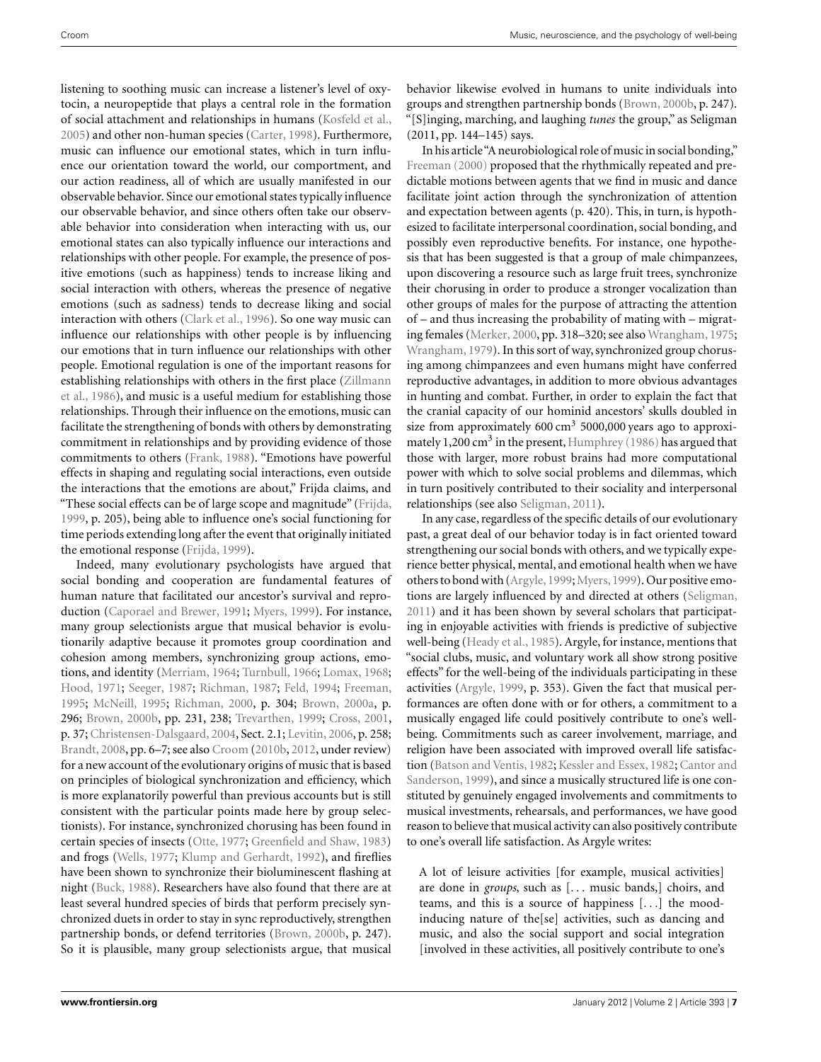listening to soothing music can increase a listener's level of oxytocin, a neuropeptide that plays a central role in the formation of social attachment and relationships in humans [\(Kosfeld et al.,](#page-12-0) [2005\)](#page-12-0) and other non-human species [\(Carter](#page-10-0), [1998](#page-10-0)). Furthermore, music can influence our emotional states, which in turn influence our orientation toward the world, our comportment, and our action readiness, all of which are usually manifested in our observable behavior. Since our emotional states typically influence our observable behavior, and since others often take our observable behavior into consideration when interacting with us, our emotional states can also typically influence our interactions and relationships with other people. For example, the presence of positive emotions (such as happiness) tends to increase liking and social interaction with others, whereas the presence of negative emotions (such as sadness) tends to decrease liking and social interaction with others [\(Clark et al., 1996](#page-11-0)). So one way music can influence our relationships with other people is by influencing our emotions that in turn influence our relationships with other people. Emotional regulation is one of the important reasons for esta[blishing relationships with others in the first place \(](#page-14-0)Zillmann et al., [1986](#page-14-0)), and music is a useful medium for establishing those relationships. Through their influence on the emotions, music can facilitate the strengthening of bonds with others by demonstrating commitment in relationships and by providing evidence of those commitments to others [\(Frank, 1988\)](#page-11-0). "Emotions have powerful effects in shaping and regulating social interactions, even outside the interactions that the emotions are about," Frijda claims, and "These social effects can be of large scope and magnitude" [\(Frijda,](#page-11-0) [1999,](#page-11-0) p. 205), being able to influence one's social functioning for time periods extending long after the event that originally initiated the emotional response [\(Frijda, 1999\)](#page-11-0).

Indeed, many evolutionary psychologists have argued that social bonding and cooperation are fundamental features of human nature that facilitated our ancestor's survival and reproduction [\(Caporael and Brewer](#page-10-0), [1991](#page-10-0); [Myers](#page-12-0), [1999\)](#page-12-0). For instance, many group selectionists argue that musical behavior is evolutionarily adaptive because it promotes group coordination and cohesion among members, synchronizing group actions, emotions, and identity [\(Merriam, 1964](#page-12-0); [Turnbull](#page-13-0), [1966;](#page-13-0) [Lomax](#page-12-0), [1968;](#page-12-0) [Hood](#page-12-0), [1971;](#page-12-0) [Seeger](#page-13-0), [1987;](#page-13-0) [Richman](#page-13-0), [1987;](#page-13-0) [Feld](#page-11-0), [1994](#page-11-0); [Freeman,](#page-11-0) [1995;](#page-11-0) [McNeill, 1995](#page-12-0); [Richman, 2000,](#page-13-0) p. 304; [Brown, 2000a,](#page-10-0) p. 296; [Brown, 2000b,](#page-10-0) pp. 231, 238; [Trevarthen](#page-13-0), [1999](#page-13-0); [Cross, 2001,](#page-11-0) p. 37; [Christensen-Dalsgaard, 2004,](#page-11-0) Sect. 2.1; [Levitin](#page-12-0), [2006](#page-12-0), p. 258; [Brandt, 2008,](#page-10-0) pp. 6–7; see also [Croom](#page-11-0) [\(2010b,](#page-11-0) [2012,](#page-11-0) under review) for a new account of the evolutionary origins of music that is based on principles of biological synchronization and efficiency, which is more explanatorily powerful than previous accounts but is still consistent with the particular points made here by group selectionists). For instance, synchronized chorusing has been found in certain species of insects [\(Otte, 1977](#page-12-0); [Greenfield and Shaw, 1983](#page-11-0)) and frogs [\(Wells](#page-13-0), [1977](#page-13-0); [Klump and Gerhardt](#page-12-0), [1992](#page-12-0)), and fireflies have been shown to synchronize their bioluminescent flashing at night [\(Buck, 1988](#page-10-0)). Researchers have also found that there are at least several hundred species of birds that perform precisely synchronized duets in order to stay in sync reproductively, strengthen partnership bonds, or defend territories [\(Brown, 2000b,](#page-10-0) p. 247). So it is plausible, many group selectionists argue, that musical behavior likewise evolved in humans to unite individuals into groups and strengthen partnership bonds [\(Brown](#page-10-0), [2000b](#page-10-0), p. 247). "[S]inging, marching, and laughing *tunes* the group," as Seligman (2011, pp. 144–145) says.

In his article"A neurobiological role of music in social bonding," [Freeman](#page-11-0) [\(2000](#page-11-0)) proposed that the rhythmically repeated and predictable motions between agents that we find in music and dance facilitate joint action through the synchronization of attention and expectation between agents (p. 420). This, in turn, is hypothesized to facilitate interpersonal coordination, social bonding, and possibly even reproductive benefits. For instance, one hypothesis that has been suggested is that a group of male chimpanzees, upon discovering a resource such as large fruit trees, synchronize their chorusing in order to produce a stronger vocalization than other groups of males for the purpose of attracting the attention of – and thus increasing the probability of mating with – migrating females [\(Merker](#page-12-0), [2000](#page-12-0), pp. 318–320; see also [Wrangham, 1975;](#page-13-0) [Wrangham, 1979](#page-13-0)). In this sort of way, synchronized group chorusing among chimpanzees and even humans might have conferred reproductive advantages, in addition to more obvious advantages in hunting and combat. Further, in order to explain the fact that the cranial capacity of our hominid ancestors' skulls doubled in size from approximately  $600 \text{ cm}^3$  5000,000 years ago to approxi-mately 1,200 cm<sup>3</sup> in the present, Humphrey [\(1986](#page-12-0)) has argued that those with larger, more robust brains had more computational power with which to solve social problems and dilemmas, which in turn positively contributed to their sociality and interpersonal relationships (see also [Seligman](#page-13-0), [2011](#page-13-0)).

In any case, regardless of the specific details of our evolutionary past, a great deal of our behavior today is in fact oriented toward strengthening our social bonds with others, and we typically experience better physical, mental, and emotional health when we have others to bond with [\(Argyle](#page-10-0),[1999;](#page-10-0)[Myers](#page-12-0),[1999\)](#page-12-0). Our positive emotions are largely influenced by and directed at others [\(Seligman,](#page-13-0) [2011\)](#page-13-0) and it has been shown by several scholars that participating in enjoyable activities with friends is predictive of subjective well-being [\(Heady et al., 1985\)](#page-12-0). Argyle, for instance, mentions that "social clubs, music, and voluntary work all show strong positive effects" for the well-being of the individuals participating in these activities [\(Argyle](#page-10-0), [1999,](#page-10-0) p. 353). Given the fact that musical performances are often done with or for others, a commitment to a musically engaged life could positively contribute to one's wellbeing. Commitments such as career involvement, marriage, and religion have been associated with improved overall life satisfaction [\(Batson and Ventis, 1982;](#page-10-0) [Kessler and Essex](#page-12-0)[,](#page-10-0) [1982](#page-12-0)[;](#page-10-0) Cantor and Sanderson, [1999](#page-10-0)), and since a musically structured life is one constituted by genuinely engaged involvements and commitments to musical investments, rehearsals, and performances, we have good reason to believe that musical activity can also positively contribute to one's overall life satisfaction. As Argyle writes:

A lot of leisure activities [for example, musical activities] are done in *groups*, such as [... music bands,] choirs, and teams, and this is a source of happiness [...] the moodinducing nature of the[se] activities, such as dancing and music, and also the social support and social integration [involved in these activities, all positively contribute to one's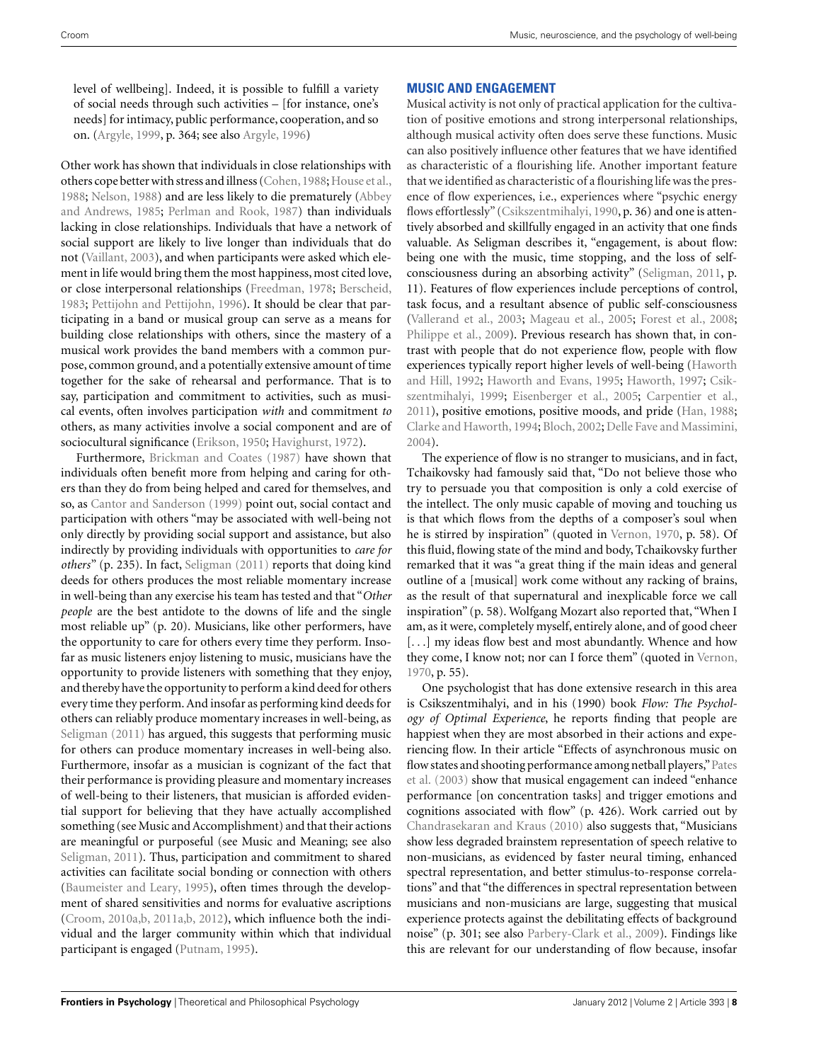level of wellbeing]. Indeed, it is possible to fulfill a variety of social needs through such activities – [for instance, one's needs] for intimacy, public performance, cooperation, and so on. [\(Argyle](#page-10-0), [1999,](#page-10-0) p. 364; see also [Argyle, 1996](#page-10-0))

Other work has shown that individuals in close relationships with others cope better with stress and illness (Cohen, 1988; [House et al.,](#page-12-0) [1988;](#page-12-0) [Nelson, 1988](#page-12-0)) and are less likely to die prematurely (Abbey and Andrews, [1985;](#page-10-0) [Perlman and Rook, 1987](#page-13-0)) than individuals lacking in close relationships. Individuals that have a network of social support are likely to live longer than individuals that do not [\(Vaillant, 2003](#page-13-0)), and when participants were asked which element in life would bring them the most happiness, most cited love, or close interpersonal relationships [\(Freedman, 1978](#page-11-0); [Berscheid,](#page-10-0) [1983;](#page-10-0) [Pettijohn and Pettijohn, 1996\)](#page-13-0). It should be clear that participating in a band or musical group can serve as a means for building close relationships with others, since the mastery of a musical work provides the band members with a common purpose, common ground, and a potentially extensive amount of time together for the sake of rehearsal and performance. That is to say, participation and commitment to activities, such as musical events, often involves participation *with* and commitment *to* others, as many activities involve a social component and are of sociocultural significance [\(Erikson](#page-11-0), [1950](#page-11-0); [Havighurst](#page-11-0), [1972](#page-11-0)).

Furthermore, [Brickman and Coates](#page-10-0) [\(1987\)](#page-10-0) have shown that individuals often benefit more from helping and caring for others than they do from being helped and cared for themselves, and so, as [Cantor and Sanderson](#page-10-0) [\(1999](#page-10-0)) point out, social contact and participation with others "may be associated with well-being not only directly by providing social support and assistance, but also indirectly by providing individuals with opportunities to *care for others*" (p. 235). In fact, [Seligman](#page-13-0) [\(2011](#page-13-0)) reports that doing kind deeds for others produces the most reliable momentary increase in well-being than any exercise his team has tested and that "*Other people* are the best antidote to the downs of life and the single most reliable up" (p. 20). Musicians, like other performers, have the opportunity to care for others every time they perform. Insofar as music listeners enjoy listening to music, musicians have the opportunity to provide listeners with something that they enjoy, and thereby have the opportunity to perform a kind deed for others every time they perform. And insofar as performing kind deeds for others can reliably produce momentary increases in well-being, as [Seligman](#page-13-0) [\(2011\)](#page-13-0) has argued, this suggests that performing music for others can produce momentary increases in well-being also. Furthermore, insofar as a musician is cognizant of the fact that their performance is providing pleasure and momentary increases of well-being to their listeners, that musician is afforded evidential support for believing that they have actually accomplished something (see Music and Accomplishment) and that their actions are meaningful or purposeful (see Music and Meaning; see also [Seligman](#page-13-0), [2011](#page-13-0)). Thus, participation and commitment to shared activities can facilitate social bonding or connection with others [\(Baumeister and Leary, 1995\)](#page-10-0), often times through the development of shared sensitivities and norms for evaluative ascriptions [\(Croom, 2010a,b, 2011a,b, 2012\)](#page-11-0), which influence both the individual and the larger community within which that individual participant is engaged [\(Putnam](#page-13-0), [1995\)](#page-13-0).

# **MUSIC AND ENGAGEMENT**

Musical activity is not only of practical application for the cultivation of positive emotions and strong interpersonal relationships, although musical activity often does serve these functions. Music can also positively influence other features that we have identified as characteristic of a flourishing life. Another important feature that we identified as characteristic of a flourishing life was the presence of flow experiences, i.e., experiences where "psychic energy flows effortlessly" [\(Csikszentmihalyi](#page-11-0), [1990,](#page-11-0) p. 36) and one is attentively absorbed and skillfully engaged in an activity that one finds valuable. As Seligman describes it, "engagement, is about flow: being one with the music, time stopping, and the loss of selfconsciousness during an absorbing activity" [\(Seligman](#page-13-0), [2011,](#page-13-0) p. 11). Features of flow experiences include perceptions of control, task focus, and a resultant absence of public self-consciousness [\(Vallerand et al., 2003](#page-13-0); [Mageau et al.](#page-12-0), [2005;](#page-12-0) [Forest et al., 2008;](#page-11-0) [Philippe et al., 2009\)](#page-13-0). Previous research has shown that, in contrast with people that do not experience flow, people with flow experie[nces](#page-11-0) [typically](#page-11-0) [report](#page-11-0) [higher](#page-11-0) [levels](#page-11-0) [of](#page-11-0) [well-being](#page-11-0) [\(](#page-11-0)Haworth and Hill, [1992](#page-11-0); [Haworth and Evans, 1995;](#page-11-0) [Haworth](#page-11-0), [1997;](#page-11-0) Csikszentmihalyi, [1999;](#page-11-0) [Eisenberger et al.](#page-11-0), [2005;](#page-11-0) [Carpentier et al.,](#page-10-0) [2011\)](#page-10-0), positive emotions, positive moods, and pride [\(Han, 1988;](#page-11-0) [Clarke and Haworth](#page-11-0), [1994](#page-11-0); [Bloch, 2002;](#page-10-0) [Delle Fave and Massimini,](#page-11-0) [2004\)](#page-11-0).

The experience of flow is no stranger to musicians, and in fact, Tchaikovsky had famously said that, "Do not believe those who try to persuade you that composition is only a cold exercise of the intellect. The only music capable of moving and touching us is that which flows from the depths of a composer's soul when he is stirred by inspiration" (quoted in [Vernon, 1970,](#page-13-0) p. 58). Of this fluid, flowing state of the mind and body, Tchaikovsky further remarked that it was "a great thing if the main ideas and general outline of a [musical] work come without any racking of brains, as the result of that supernatural and inexplicable force we call inspiration" (p. 58). Wolfgang Mozart also reported that, "When I am, as it were, completely myself, entirely alone, and of good cheer [...] my ideas flow best and most abundantly. Whence and how they come, I know not; nor can I force them" (quoted in [Vernon,](#page-13-0) [1970,](#page-13-0) p. 55).

One psychologist that has done extensive research in this area is Csikszentmihalyi, and in his (1990) book *Flow: The Psychology of Optimal Experience*, he reports finding that people are happiest when they are most absorbed in their actions and experiencing flow. In their article "Effects of asynchronous music on flow [states and shooting performance among netball players,"](#page-13-0)Pates et al. [\(2003\)](#page-13-0) show that musical engagement can indeed "enhance performance [on concentration tasks] and trigger emotions and cognitions associated with flow" (p. 426). Work carried out by [Chandrasekaran and Kraus](#page-10-0) [\(2010\)](#page-10-0) also suggests that, "Musicians show less degraded brainstem representation of speech relative to non-musicians, as evidenced by faster neural timing, enhanced spectral representation, and better stimulus-to-response correlations" and that "the differences in spectral representation between musicians and non-musicians are large, suggesting that musical experience protects against the debilitating effects of background noise" (p. 301; see also [Parbery-Clark et al., 2009\)](#page-13-0). Findings like this are relevant for our understanding of flow because, insofar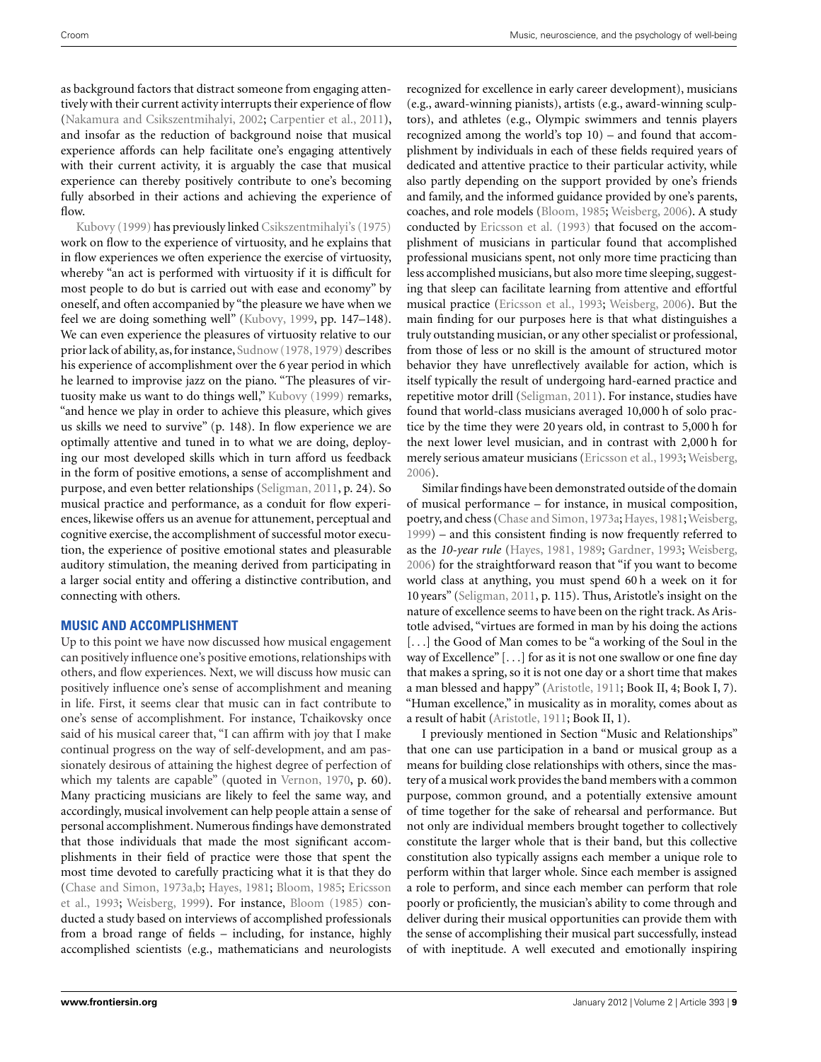as background factors that distract someone from engaging attentively with their current activity interrupts their experience of flow [\(Nakamura and Csikszentmihalyi, 2002](#page-12-0); [Carpentier et al., 2011](#page-10-0)), and insofar as the reduction of background noise that musical experience affords can help facilitate one's engaging attentively with their current activity, it is arguably the case that musical experience can thereby positively contribute to one's becoming fully absorbed in their actions and achieving the experience of [flow.](#page-12-0)

Kubovy [\(1999](#page-12-0)) has previously linked [Csikszentmihalyi's](#page-14-0) [\(1975](#page-14-0)) work on flow to the experience of virtuosity, and he explains that in flow experiences we often experience the exercise of virtuosity, whereby "an act is performed with virtuosity if it is difficult for most people to do but is carried out with ease and economy" by oneself, and often accompanied by "the pleasure we have when we feel we are doing something well" [\(Kubovy](#page-12-0), [1999](#page-12-0), pp. 147–148). We can even experience the pleasures of virtuosity relative to our prior lack of ability, as,for instance, [Sudnow](#page-13-0) [\(1978, 1979](#page-13-0)) describes his experience of accomplishment over the 6 year period in which he learned to improvise jazz on the piano. "The pleasures of virtuosity make us want to do things well," [Kubovy](#page-12-0) [\(1999](#page-12-0)) remarks, "and hence we play in order to achieve this pleasure, which gives us skills we need to survive" (p. 148). In flow experience we are optimally attentive and tuned in to what we are doing, deploying our most developed skills which in turn afford us feedback in the form of positive emotions, a sense of accomplishment and purpose, and even better relationships [\(Seligman, 2011](#page-13-0), p. 24). So musical practice and performance, as a conduit for flow experiences, likewise offers us an avenue for attunement, perceptual and cognitive exercise, the accomplishment of successful motor execution, the experience of positive emotional states and pleasurable auditory stimulation, the meaning derived from participating in a larger social entity and offering a distinctive contribution, and connecting with others.

## **MUSIC AND ACCOMPLISHMENT**

Up to this point we have now discussed how musical engagement can positively influence one's positive emotions, relationships with others, and flow experiences. Next, we will discuss how music can positively influence one's sense of accomplishment and meaning in life. First, it seems clear that music can in fact contribute to one's sense of accomplishment. For instance, Tchaikovsky once said of his musical career that, "I can affirm with joy that I make continual progress on the way of self-development, and am passionately desirous of attaining the highest degree of perfection of which my talents are capable" (quoted in [Vernon, 1970](#page-13-0), p. 60). Many practicing musicians are likely to feel the same way, and accordingly, musical involvement can help people attain a sense of personal accomplishment. Numerous findings have demonstrated that those individuals that made the most significant accomplishments in their field of practice were those that spent the most time devoted to carefully practicing what it is that they do [\(Chase and Simon, 1973a,b;](#page-11-0) [Hayes](#page-11-0), [1981](#page-11-0); [Bloom, 1985;](#page-10-0) Ericsson et al., [1993;](#page-11-0) [Weisberg](#page-13-0), [1999](#page-13-0)). For instance, [Bloom](#page-10-0) [\(1985](#page-10-0)) conducted a study based on interviews of accomplished professionals from a broad range of fields – including, for instance, highly accomplished scientists (e.g., mathematicians and neurologists

recognized for excellence in early career development), musicians (e.g., award-winning pianists), artists (e.g., award-winning sculptors), and athletes (e.g., Olympic swimmers and tennis players recognized among the world's top 10) – and found that accomplishment by individuals in each of these fields required years of dedicated and attentive practice to their particular activity, while also partly depending on the support provided by one's friends and family, and the informed guidance provided by one's parents, coaches, and role models [\(Bloom](#page-10-0), [1985;](#page-10-0) [Weisberg](#page-13-0), [2006\)](#page-13-0). A study conducted by [Ericsson et al.](#page-11-0) [\(1993\)](#page-11-0) that focused on the accomplishment of musicians in particular found that accomplished professional musicians spent, not only more time practicing than less accomplished musicians, but also more time sleeping, suggesting that sleep can facilitate learning from attentive and effortful musical practice [\(Ericsson et al.](#page-11-0), [1993;](#page-11-0) [Weisberg](#page-13-0), [2006](#page-13-0)). But the main finding for our purposes here is that what distinguishes a truly outstanding musician, or any other specialist or professional, from those of less or no skill is the amount of structured motor behavior they have unreflectively available for action, which is itself typically the result of undergoing hard-earned practice and repetitive motor drill [\(Seligman, 2011\)](#page-13-0). For instance, studies have found that world-class musicians averaged 10,000 h of solo practice by the time they were 20 years old, in contrast to 5,000 h for the next lower level musician, and in contrast with 2,000 h for merely serious amateur musicians [\(Ericsson et al., 1993;](#page-11-0) [Weisberg,](#page-13-0) [2006\)](#page-13-0).

Similar findings have been demonstrated outside of the domain of musical performance – for instance, in musical composition, poetry, and chess [\(Chase and Simon](#page-11-0), [1973a](#page-11-0); [Hayes](#page-11-0), [1981;](#page-11-0) [Weisberg,](#page-13-0) [1999\)](#page-13-0) – and this consistent finding is now frequently referred to as the *10-year rule* [\(Hayes](#page-11-0), [1981,](#page-11-0) [1989;](#page-12-0) [Gardner, 1993;](#page-11-0) [Weisberg,](#page-13-0) [2006\)](#page-13-0) for the straightforward reason that "if you want to become world class at anything, you must spend 60 h a week on it for 10 years" [\(Seligman](#page-13-0), [2011](#page-13-0), p. 115). Thus, Aristotle's insight on the nature of excellence seems to have been on the right track. As Aristotle advised, "virtues are formed in man by his doing the actions [...] the Good of Man comes to be "a working of the Soul in the way of Excellence" [...] for as it is not one swallow or one fine day that makes a spring, so it is not one day or a short time that makes a man blessed and happy" [\(Aristotle](#page-10-0), [1911;](#page-10-0) Book II, 4; Book I, 7). "Human excellence," in musicality as in morality, comes about as a result of habit [\(Aristotle, 1911;](#page-10-0) Book II, 1).

I previously mentioned in Section "Music and Relationships" that one can use participation in a band or musical group as a means for building close relationships with others, since the mastery of a musical work provides the band members with a common purpose, common ground, and a potentially extensive amount of time together for the sake of rehearsal and performance. But not only are individual members brought together to collectively constitute the larger whole that is their band, but this collective constitution also typically assigns each member a unique role to perform within that larger whole. Since each member is assigned a role to perform, and since each member can perform that role poorly or proficiently, the musician's ability to come through and deliver during their musical opportunities can provide them with the sense of accomplishing their musical part successfully, instead of with ineptitude. A well executed and emotionally inspiring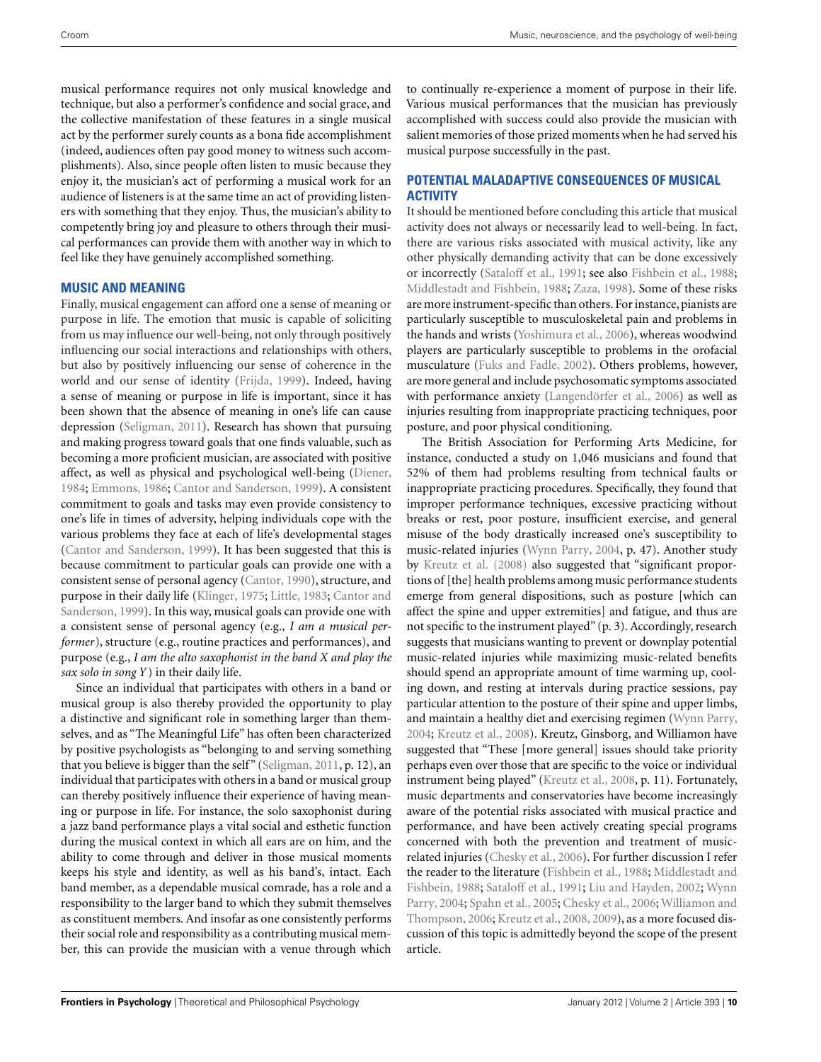musical performance requires not only musical knowledge and technique, but also a performer's confidence and social grace, and the collective manifestation of these features in a single musical act by the performer surely counts as a bona fide accomplishment (indeed, audiences often pay good money to witness such accomplishments). Also, since people often listen to music because they enjoy it, the musician's act of performing a musical work for an audience of listeners is at the same time an act of providing listeners with something that they enjoy. Thus, the musician's ability to competently bring joy and pleasure to others through their musical performances can provide them with another way in which to feel like they have genuinely accomplished something.

## **MUSIC AND MEANING**

Finally, musical engagement can afford one a sense of meaning or purpose in life. The emotion that music is capable of soliciting from us may influence our well-being, not only through positively influencing our social interactions and relationships with others, but also by positively influencing our sense of coherence in the world and our sense of identity [\(Frijda, 1999\)](#page-11-0). Indeed, having a sense of meaning or purpose in life is important, since it has been shown that the absence of meaning in one's life can cause depression [\(Seligman](#page-13-0), [2011\)](#page-13-0). Research has shown that pursuing and making progress toward goals that one finds valuable, such as becoming a more proficient musician, are associated with positive affect, as well as physical and psychological well-being [\(Diener,](#page-11-0) [1984;](#page-11-0) [Emmons](#page-11-0), [1986;](#page-11-0) [Cantor and Sanderson, 1999](#page-10-0)). A consistent commitment to goals and tasks may even provide consistency to one's life in times of adversity, helping individuals cope with the various problems they face at each of life's developmental stages [\(Cantor and Sanderson](#page-10-0), [1999](#page-10-0)). It has been suggested that this is because commitment to particular goals can provide one with a consistent sense of personal agency [\(Cantor, 1990\)](#page-10-0), structure, and purpose i[n their daily life](#page-10-0) [\(Klinger](#page-12-0)[,](#page-10-0) [1975](#page-12-0)[;](#page-10-0) [Little, 1983](#page-12-0); Cantor and Sanderson, [1999](#page-10-0)). In this way, musical goals can provide one with a consistent sense of personal agency (e.g., *I am a musical performer*), structure (e.g., routine practices and performances), and purpose (e.g., *I am the alto saxophonist in the band X and play the sax solo in song Y* ) in their daily life.

Since an individual that participates with others in a band or musical group is also thereby provided the opportunity to play a distinctive and significant role in something larger than themselves, and as "The Meaningful Life" has often been characterized by positive psychologists as "belonging to and serving something that you believe is bigger than the self" [\(Seligman, 2011,](#page-13-0) p. 12), an individual that participates with others in a band or musical group can thereby positively influence their experience of having meaning or purpose in life. For instance, the solo saxophonist during a jazz band performance plays a vital social and esthetic function during the musical context in which all ears are on him, and the ability to come through and deliver in those musical moments keeps his style and identity, as well as his band's, intact. Each band member, as a dependable musical comrade, has a role and a responsibility to the larger band to which they submit themselves as constituent members. And insofar as one consistently performs their social role and responsibility as a contributing musical member, this can provide the musician with a venue through which

to continually re-experience a moment of purpose in their life. Various musical performances that the musician has previously accomplished with success could also provide the musician with salient memories of those prized moments when he had served his musical purpose successfully in the past.

## **POTENTIAL MALADAPTIVE CONSEQUENCES OF MUSICAL ACTIVITY**

It should be mentioned before concluding this article that musical activity does not always or necessarily lead to well-being. In fact, there are various risks associated with musical activity, like any other physically demanding activity that can be done excessively or incorrectly [\(Sataloff et al., 1991;](#page-13-0) see also [Fishbein et al., 1988;](#page-11-0) [Middlestadt and Fishbein, 1988](#page-12-0); [Zaza, 1998](#page-14-0)). Some of these risks are more instrument-specific than others. For instance, pianists are particularly susceptible to musculoskeletal pain and problems in the hands and wrists [\(Yoshimura et al.](#page-13-0), [2006\)](#page-13-0), whereas woodwind players are particularly susceptible to problems in the orofacial musculature [\(Fuks and Fadle](#page-11-0), [2002\)](#page-11-0). Others problems, however, are more general and include psychosomatic symptoms associated with performance anxiety [\(Langendörfer et al.](#page-12-0), [2006\)](#page-12-0) as well as injuries resulting from inappropriate practicing techniques, poor posture, and poor physical conditioning.

The British Association for Performing Arts Medicine, for instance, conducted a study on 1,046 musicians and found that 52% of them had problems resulting from technical faults or inappropriate practicing procedures. Specifically, they found that improper performance techniques, excessive practicing without breaks or rest, poor posture, insufficient exercise, and general misuse of the body drastically increased one's susceptibility to music-related injuries [\(Wynn Parry](#page-13-0), [2004](#page-13-0), p. 47). Another study by [Kreutz et al.](#page-12-0) [\(2008\)](#page-12-0) also suggested that "significant proportions of [the] health problems among music performance students emerge from general dispositions, such as posture [which can affect the spine and upper extremities] and fatigue, and thus are not specific to the instrument played" (p. 3). Accordingly, research suggests that musicians wanting to prevent or downplay potential music-related injuries while maximizing music-related benefits should spend an appropriate amount of time warming up, cooling down, and resting at intervals during practice sessions, pay particular attention to the posture of their spine and upper limbs, and maintain a healthy diet and exercising regimen [\(Wynn Parry,](#page-13-0) [2004;](#page-13-0) [Kreutz et al.](#page-12-0), [2008](#page-12-0)). Kreutz, Ginsborg, and Williamon have suggested that "These [more general] issues should take priority perhaps even over those that are specific to the voice or individual instrument being played" [\(Kreutz et al.](#page-12-0), [2008,](#page-12-0) p. 11). Fortunately, music departments and conservatories have become increasingly aware of the potential risks associated with musical practice and performance, and have been actively creating special programs concerned with both the prevention and treatment of musicrelated injuries [\(Chesky et al.](#page-11-0), [2006](#page-11-0)). For further discussion I refer the read[er](#page-12-0) [to](#page-12-0) [the](#page-12-0) [literature](#page-12-0) [\(Fishbein et al.](#page-11-0)[,](#page-12-0) [1988](#page-11-0)[;](#page-12-0) Middlestadt and Fishbein, [1988](#page-12-0); [Sataloff et al.](#page-13-0), [1991;](#page-13-0) [Liu and Hayden](#page-12-0)[,](#page-13-0) [2002;](#page-12-0) Wynn Parry, [2004](#page-13-0); [Spahn et al., 2005;](#page-13-0) [Chesky et al.](#page-11-0)[,](#page-13-0) [2006](#page-11-0)[;](#page-13-0) Williamon and Thompson, [2006](#page-13-0); [Kreutz et al.](#page-12-0), [2008](#page-12-0), [2009](#page-12-0)), as a more focused discussion of this topic is admittedly beyond the scope of the present article.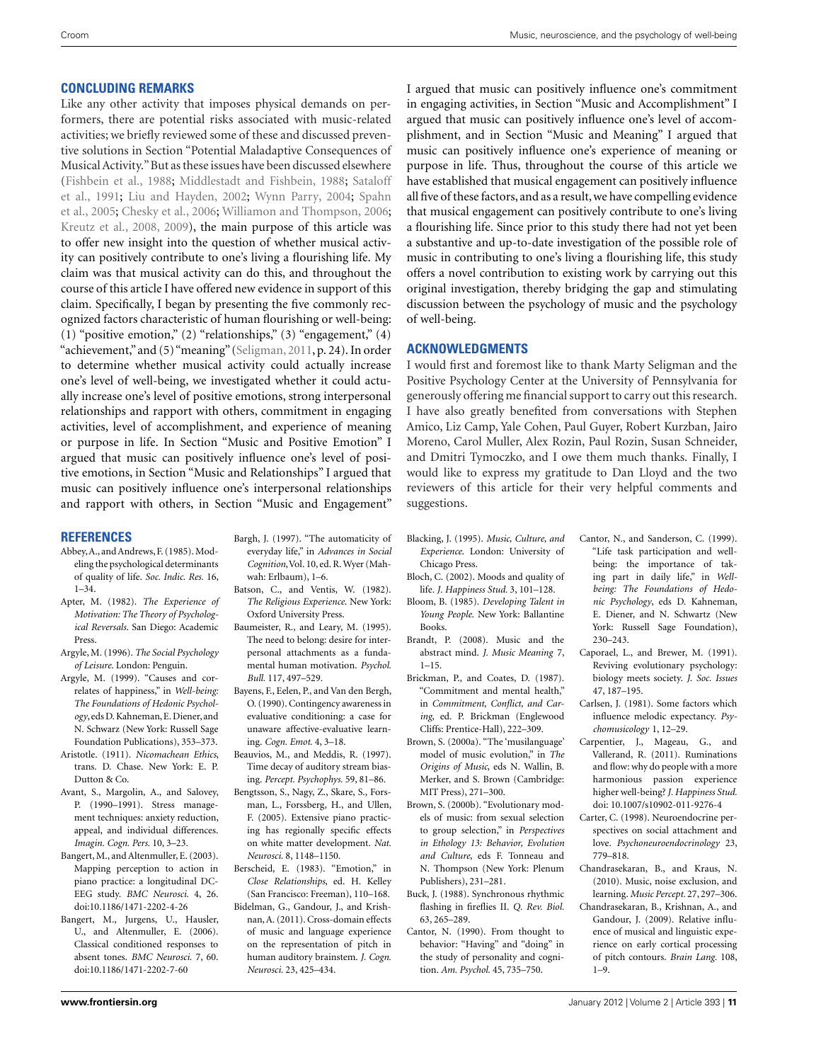### <span id="page-10-0"></span>**CONCLUDING REMARKS**

Like any other activity that imposes physical demands on performers, there are potential risks associated with music-related activities; we briefly reviewed some of these and discussed preventive solutions in Section "Potential Maladaptive Consequences of Musical Activity."But as these issues have been discussed elsewhere [\(Fishbein et al.](#page-11-0), [1988](#page-11-0); [Middlestadt and Fishbein](#page-12-0)[,](#page-13-0) [1988](#page-12-0)[;](#page-13-0) Sataloff et al., [1991](#page-13-0); [Liu and Hayden, 2002](#page-12-0); [Wynn Parry, 2004;](#page-13-0) Spahn et al., [2005](#page-13-0); [Chesky et al., 2006](#page-11-0); [Williamon and Thompson](#page-13-0), [2006;](#page-13-0) [Kreutz et al.](#page-12-0), [2008, 2009\)](#page-12-0), the main purpose of this article was to offer new insight into the question of whether musical activity can positively contribute to one's living a flourishing life. My claim was that musical activity can do this, and throughout the course of this article I have offered new evidence in support of this claim. Specifically, I began by presenting the five commonly recognized factors characteristic of human flourishing or well-being: (1) "positive emotion," (2) "relationships," (3) "engagement,"  $(4)$ "achievement,"and (5)"meaning" [\(Seligman](#page-13-0), [2011,](#page-13-0) p. 24). In order to determine whether musical activity could actually increase one's level of well-being, we investigated whether it could actually increase one's level of positive emotions, strong interpersonal relationships and rapport with others, commitment in engaging activities, level of accomplishment, and experience of meaning or purpose in life. In Section "Music and Positive Emotion" I argued that music can positively influence one's level of positive emotions, in Section "Music and Relationships" I argued that music can positively influence one's interpersonal relationships and rapport with others, in Section "Music and Engagement"

#### **REFERENCES**

- Abbey,A., and Andrews, F. (1985). Modeling the psychological determinants of quality of life. *Soc. Indic. Res.* 16, 1–34.
- Apter, M. (1982). *The Experience of Motivation: The Theory of Psychological Reversals*. San Diego: Academic Press.
- Argyle, M. (1996). *The Social Psychology of Leisure*. London: Penguin.
- Argyle, M. (1999). "Causes and correlates of happiness," in *Well-being: The Foundations of Hedonic Psychology*, eds D. Kahneman, E. Diener, and N. Schwarz (New York: Russell Sage Foundation Publications), 353–373.
- Aristotle. (1911). *Nicomachean Ethics*, trans. D. Chase. New York: E. P. Dutton & Co.
- Avant, S., Margolin, A., and Salovey, P. (1990–1991). Stress management techniques: anxiety reduction, appeal, and individual differences. *Imagin. Cogn. Pers.* 10, 3–23.
- Bangert, M., and Altenmuller, E. (2003). Mapping perception to action in piano practice: a longitudinal DC-EEG study. *BMC Neurosci.* 4, 26. doi[:10.1186/1471-2202-4-26](http://dx.doi.org/10.1186/1471-2202-4-26)
- Bangert, M., Jurgens, U., Hausler, U., and Altenmuller, E. (2006). Classical conditioned responses to absent tones. *BMC Neurosci.* 7, 60. doi[:10.1186/1471-2202-7-60](http://dx.doi.org/10.1186/1471-2202-7-60)
- Bargh, J. (1997). "The automaticity of everyday life," in *Advances in Social* Cognition, Vol. 10, ed. R. Wyer (Mahwah: Erlbaum), 1–6.
- Batson, C., and Ventis, W. (1982). *The Religious Experience*. New York: Oxford University Press.
- Baumeister, R., and Leary, M. (1995). The need to belong: desire for interpersonal attachments as a fundamental human motivation. *Psychol. Bull.* 117, 497–529.
- Bayens, F., Eelen, P., and Van den Bergh, O. (1990). Contingency awareness in evaluative conditioning: a case for unaware affective-evaluative learning. *Cogn. Emot.* 4, 3–18.
- Beauvios, M., and Meddis, R. (1997). Time decay of auditory stream biasing. *Percept. Psychophys.* 59, 81–86.
- Bengtsson, S., Nagy, Z., Skare, S., Forsman, L., Forssberg, H., and Ullen, F. (2005). Extensive piano practicing has regionally specific effects on white matter development. *Nat. Neurosci.* 8, 1148–1150.
- Berscheid, E. (1983). "Emotion," in *Close Relationships*, ed. H. Kelley (San Francisco: Freeman), 110–168.
- Bidelman, G., Gandour, J., and Krishnan,A. (2011). Cross-domain effects of music and language experience on the representation of pitch in human auditory brainstem. *J. Cogn. Neurosci.* 23, 425–434.

I argued that music can positively influence one's commitment in engaging activities, in Section "Music and Accomplishment" I argued that music can positively influence one's level of accomplishment, and in Section "Music and Meaning" I argued that music can positively influence one's experience of meaning or purpose in life. Thus, throughout the course of this article we have established that musical engagement can positively influence all five of these factors, and as a result,we have compelling evidence that musical engagement can positively contribute to one's living a flourishing life. Since prior to this study there had not yet been a substantive and up-to-date investigation of the possible role of music in contributing to one's living a flourishing life, this study offers a novel contribution to existing work by carrying out this original investigation, thereby bridging the gap and stimulating discussion between the psychology of music and the psychology of well-being.

#### **ACKNOWLEDGMENTS**

I would first and foremost like to thank Marty Seligman and the Positive Psychology Center at the University of Pennsylvania for generously offering me financial support to carry out this research. I have also greatly benefited from conversations with Stephen Amico, Liz Camp, Yale Cohen, Paul Guyer, Robert Kurzban, Jairo Moreno, Carol Muller, Alex Rozin, Paul Rozin, Susan Schneider, and Dmitri Tymoczko, and I owe them much thanks. Finally, I would like to express my gratitude to Dan Lloyd and the two reviewers of this article for their very helpful comments and suggestions.

- Blacking, J. (1995). *Music, Culture, and Experience*. London: University of Chicago Press.
- Bloch, C. (2002). Moods and quality of life. *J. Happiness Stud.* 3, 101–128.
- Bloom, B. (1985). *Developing Talent in Young People*. New York: Ballantine Books.
- Brandt, P. (2008). Music and the abstract mind. *J. Music Meaning* 7, 1–15.
- Brickman, P., and Coates, D. (1987). "Commitment and mental health," in *Commitment, Conflict, and Caring*, ed. P. Brickman (Englewood Cliffs: Prentice-Hall), 222–309.
- Brown, S. (2000a). "The 'musilanguage' model of music evolution," in *The Origins of Music*, eds N. Wallin, B. Merker, and S. Brown (Cambridge: MIT Press), 271–300.
- Brown, S. (2000b). "Evolutionary models of music: from sexual selection to group selection," in *Perspectives in Ethology 13: Behavior, Evolution and Culture*, eds F. Tonneau and N. Thompson (New York: Plenum Publishers), 231–281.
- Buck, J. (1988). Synchronous rhythmic flashing in fireflies II. *Q. Rev. Biol.* 63, 265–289.
- Cantor, N. (1990). From thought to behavior: "Having" and "doing" in the study of personality and cognition. *Am. Psychol.* 45, 735–750.
- Cantor, N., and Sanderson, C. (1999). "Life task participation and wellbeing: the importance of taking part in daily life," in *Wellbeing: The Foundations of Hedonic Psychology*, eds D. Kahneman, E. Diener, and N. Schwartz (New York: Russell Sage Foundation), 230–243.
- Caporael, L., and Brewer, M. (1991). Reviving evolutionary psychology: biology meets society. *J. Soc. Issues* 47, 187–195.
- Carlsen, J. (1981). Some factors which influence melodic expectancy. *Psychomusicology* 1, 12–29.
- Carpentier, J., Mageau, G., and Vallerand, R. (2011). Ruminations and flow: why do people with a more harmonious passion experience higher well-being? *J. Happiness Stud.* doi: 10.1007/s10902-011-9276-4
- Carter, C. (1998). Neuroendocrine perspectives on social attachment and love. *Psychoneuroendocrinology* 23, 779–818.
- Chandrasekaran, B., and Kraus, N. (2010). Music, noise exclusion, and learning. *Music Percept.* 27, 297–306.
- Chandrasekaran, B., Krishnan, A., and Gandour, J. (2009). Relative influence of musical and linguistic experience on early cortical processing of pitch contours. *Brain Lang.* 108, 1–9.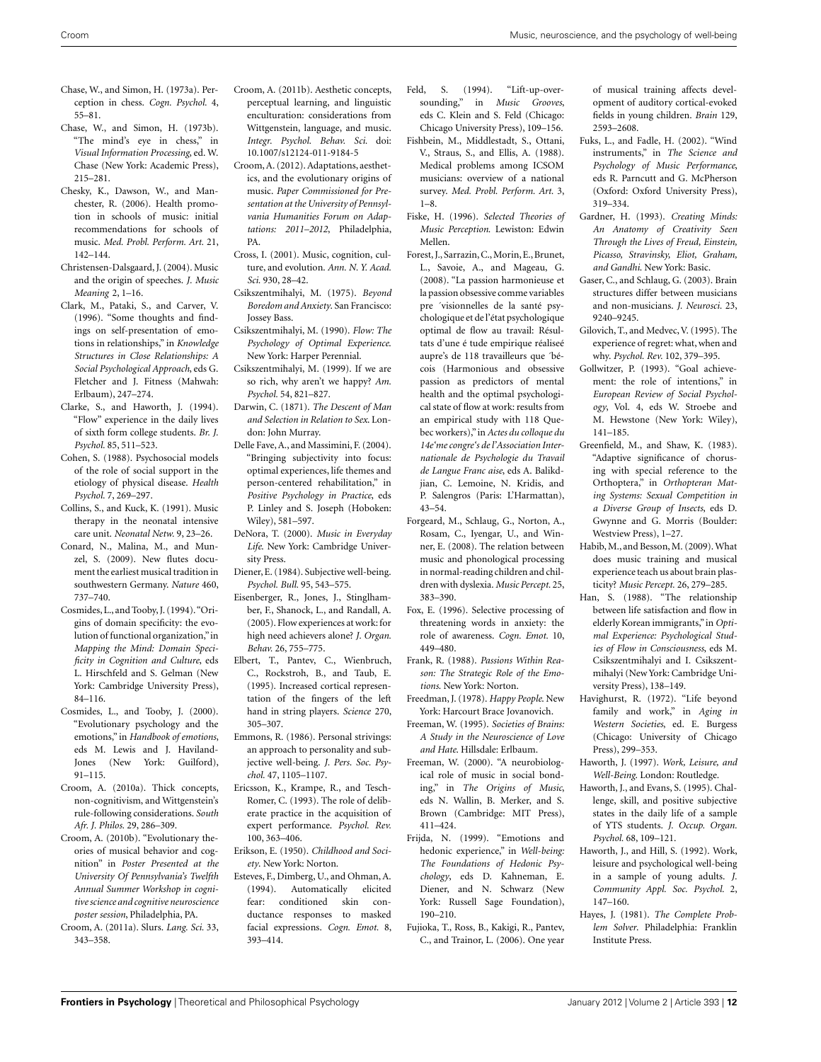- <span id="page-11-0"></span>Chase, W., and Simon, H. (1973a). Perception in chess. *Cogn. Psychol.* 4, 55–81.
- Chase, W., and Simon, H. (1973b). "The mind's eye in chess," in *Visual Information Processing*, ed. W. Chase (New York: Academic Press), 215–281.
- Chesky, K., Dawson, W., and Manchester, R. (2006). Health promotion in schools of music: initial recommendations for schools of music. *Med. Probl. Perform. Art.* 21, 142–144.
- Christensen-Dalsgaard, J. (2004). Music and the origin of speeches. *J. Music Meaning* 2, 1–16.
- Clark, M., Pataki, S., and Carver, V. (1996). "Some thoughts and findings on self-presentation of emotions in relationships," in *Knowledge Structures in Close Relationships: A Social Psychological Approach*, eds G. Fletcher and J. Fitness (Mahwah: Erlbaum), 247–274.
- Clarke, S., and Haworth, J. (1994). "Flow" experience in the daily lives of sixth form college students. *Br. J. Psychol.* 85, 511–523.
- Cohen, S. (1988). Psychosocial models of the role of social support in the etiology of physical disease. *Health Psychol.* 7, 269–297.
- Collins, S., and Kuck, K. (1991). Music therapy in the neonatal intensive care unit. *Neonatal Netw.* 9, 23–26.
- Conard, N., Malina, M., and Munzel, S. (2009). New flutes document the earliest musical tradition in southwestern Germany. *Nature* 460, 737–740.
- Cosmides, L., and Tooby, J. (1994)."Origins of domain specificity: the evolution of functional organization,"in *Mapping the Mind: Domain Specificity in Cognition and Culture*, eds L. Hirschfeld and S. Gelman (New York: Cambridge University Press), 84–116.
- Cosmides, L., and Tooby, J. (2000). "Evolutionary psychology and the emotions," in *Handbook of emotions*, eds M. Lewis and J. Haviland-Jones (New York: Guilford), 91–115.
- Croom, A. (2010a). Thick concepts, non-cognitivism, and Wittgenstein's rule-following considerations. *South Afr. J. Philos.* 29, 286–309.
- Croom, A. (2010b). "Evolutionary theories of musical behavior and cognition" in *Poster Presented at the University Of Pennsylvania's Twelfth Annual Summer Workshop in cognitive science and cognitive neuroscience poster session*, Philadelphia, PA.
- Croom, A. (2011a). Slurs. *Lang. Sci.* 33, 343–358.
- Croom, A. (2011b). Aesthetic concepts, perceptual learning, and linguistic enculturation: considerations from Wittgenstein, language, and music. *Integr. Psychol. Behav. Sci.* doi: 10.1007/s12124-011-9184-5
- Croom,A. (2012). Adaptations, aesthetics, and the evolutionary origins of music. *Paper Commissioned for Presentation at the University of Pennsylvania Humanities Forum on Adaptations: 2011–2012*, Philadelphia, PA.
- Cross, I. (2001). Music, cognition, culture, and evolution. *Ann. N. Y. Acad. Sci.* 930, 28–42.
- Csikszentmihalyi, M. (1975). *Beyond Boredom and Anxiety*. San Francisco: Jossey Bass.
- Csikszentmihalyi, M. (1990). *Flow: The Psychology of Optimal Experience*. New York: Harper Perennial.
- Csikszentmihalyi, M. (1999). If we are so rich, why aren't we happy? *Am. Psychol.* 54, 821–827.
- Darwin, C. (1871). *The Descent of Man and Selection in Relation to Sex*. London: John Murray.
- Delle Fave, A., and Massimini, F. (2004). "Bringing subjectivity into focus: optimal experiences, life themes and person-centered rehabilitation," in *Positive Psychology in Practice*, eds P. Linley and S. Joseph (Hoboken: Wiley), 581–597.
- DeNora, T. (2000). *Music in Everyday Life*. New York: Cambridge University Press.
- Diener, E. (1984). Subjective well-being. *Psychol. Bull.* 95, 543–575.
- Eisenberger, R., Jones, J., Stinglhamber, F., Shanock, L., and Randall, A. (2005). Flow experiences at work: for high need achievers alone? *J. Organ. Behav.* 26, 755–775.
- Elbert, T., Pantev, C., Wienbruch, C., Rockstroh, B., and Taub, E. (1995). Increased cortical representation of the fingers of the left hand in string players. *Science* 270, 305–307.
- Emmons, R. (1986). Personal strivings: an approach to personality and subjective well-being. *J. Pers. Soc. Psychol.* 47, 1105–1107.
- Ericsson, K., Krampe, R., and Tesch-Romer, C. (1993). The role of deliberate practice in the acquisition of expert performance. *Psychol. Rev.* 100, 363–406.
- Erikson, E. (1950). *Childhood and Society*. New York: Norton.
- Esteves, F., Dimberg, U., and Ohman, A. (1994). Automatically elicited fear: conditioned skin conductance responses to masked facial expressions. *Cogn. Emot.* 8, 393–414.
- Feld, S. (1994). "Lift-up-oversounding," in *Music Grooves*, eds C. Klein and S. Feld (Chicago: Chicago University Press), 109–156.
- Fishbein, M., Middlestadt, S., Ottani, V., Straus, S., and Ellis, A. (1988). Medical problems among ICSOM musicians: overview of a national survey. *Med. Probl. Perform. Art.* 3, 1–8.
- Fiske, H. (1996). *Selected Theories of Music Perception*. Lewiston: Edwin Mellen.
- Forest, J., Sarrazin,C.,Morin, E., Brunet, L., Savoie, A., and Mageau, G. (2008). "La passion harmonieuse et la passion obsessive comme variables pre ´visionnelles de la santé psychologique et de l'état psychologique optimal de flow au travail: Résultats d'une é tude empirique réaliseé aupre's de 118 travailleurs que ´bécois (Harmonious and obsessive passion as predictors of mental health and the optimal psychological state of flow at work: results from an empirical study with 118 Quebec workers),"in *Actes du colloque du 14e'me congre's de l'Association Internationale de Psychologie du Travail de Langue Franc aise*, eds A. Balikdjian, C. Lemoine, N. Kridis, and P. Salengros (Paris: L'Harmattan), 43–54.
- Forgeard, M., Schlaug, G., Norton, A., Rosam, C., Iyengar, U., and Winner, E. (2008). The relation between music and phonological processing in normal-reading children and children with dyslexia. *Music Percept.* 25, 383–390.
- Fox, E. (1996). Selective processing of threatening words in anxiety: the role of awareness. *Cogn. Emot.* 10, 449–480.
- Frank, R. (1988). *Passions Within Reason: The Strategic Role of the Emotions*. New York: Norton.
- Freedman, J. (1978). *Happy People*. New York: Harcourt Brace Jovanovich.
- Freeman, W. (1995). *Societies of Brains: A Study in the Neuroscience of Love and Hate*. Hillsdale: Erlbaum.
- Freeman, W. (2000). "A neurobiological role of music in social bonding," in *The Origins of Music*, eds N. Wallin, B. Merker, and S. Brown (Cambridge: MIT Press), 411–424.
- Frijda, N. (1999). "Emotions and hedonic experience," in *Well-being: The Foundations of Hedonic Psychology*, eds D. Kahneman, E. Diener, and N. Schwarz (New York: Russell Sage Foundation), 190–210.
- Fujioka, T., Ross, B., Kakigi, R., Pantev, C., and Trainor, L. (2006). One year

of musical training affects development of auditory cortical-evoked fields in young children. *Brain* 129, 2593–2608.

- Fuks, L., and Fadle, H. (2002). "Wind instruments," in *The Science and Psychology of Music Performance*, eds R. Parncutt and G. McPherson (Oxford: Oxford University Press), 319–334.
- Gardner, H. (1993). *Creating Minds: An Anatomy of Creativity Seen Through the Lives of Freud, Einstein, Picasso, Stravinsky, Eliot, Graham, and Gandhi*. New York: Basic.
- Gaser, C., and Schlaug, G. (2003). Brain structures differ between musicians and non-musicians. *J. Neurosci.* 23, 9240–9245.
- Gilovich, T., and Medvec,V. (1995). The experience of regret: what, when and why. *Psychol. Rev.* 102, 379–395.
- Gollwitzer, P. (1993). "Goal achievement: the role of intentions," in *European Review of Social Psychology*, Vol. 4, eds W. Stroebe and M. Hewstone (New York: Wiley), 141–185.
- Greenfield, M., and Shaw, K. (1983). "Adaptive significance of chorusing with special reference to the Orthoptera," in *Orthopteran Mating Systems: Sexual Competition in a Diverse Group of Insects*, eds D. Gwynne and G. Morris (Boulder: Westview Press), 1–27.
- Habib,M., and Besson,M. (2009).What does music training and musical experience teach us about brain plasticity? *Music Percept.* 26, 279–285.
- Han, S. (1988). "The relationship between life satisfaction and flow in elderly Korean immigrants,"in *Optimal Experience: Psychological Studies of Flow in Consciousness*, eds M. Csikszentmihalyi and I. Csikszentmihalyi (New York: Cambridge University Press), 138–149.
- Havighurst, R. (1972). "Life beyond family and work," in *Aging in Western Societies*, ed. E. Burgess (Chicago: University of Chicago Press), 299–353.
- Haworth, J. (1997). *Work, Leisure, and Well-Being*. London: Routledge.
- Haworth, J., and Evans, S. (1995). Challenge, skill, and positive subjective states in the daily life of a sample of YTS students. *J. Occup. Organ. Psychol.* 68, 109–121.
- Haworth, J., and Hill, S. (1992). Work, leisure and psychological well-being in a sample of young adults. *J. Community Appl. Soc. Psychol.* 2, 147–160.
- Hayes, J. (1981). *The Complete Problem Solver*. Philadelphia: Franklin Institute Press.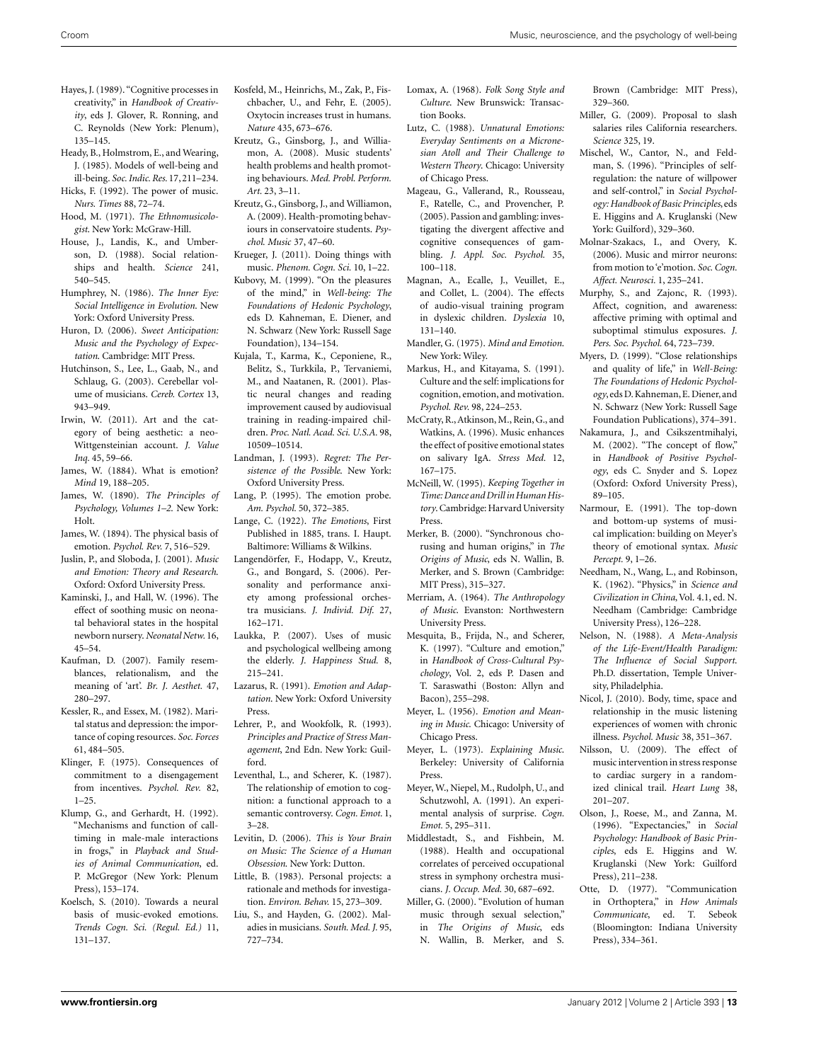- <span id="page-12-0"></span>Hayes, J. (1989). "Cognitive processes in creativity," in *Handbook of Creativity*, eds J. Glover, R. Ronning, and C. Reynolds (New York: Plenum), 135–145.
- Heady, B., Holmstrom, E., and Wearing, J. (1985). Models of well-being and ill-being. *Soc. Indic. Res.* 17,211–234.
- Hicks, F. (1992). The power of music. *Nurs. Times* 88, 72–74.
- Hood, M. (1971). *The Ethnomusicologist*. New York: McGraw-Hill.
- House, J., Landis, K., and Umberson, D. (1988). Social relationships and health. *Science* 241, 540–545.
- Humphrey, N. (1986). *The Inner Eye: Social Intelligence in Evolution*. New York: Oxford University Press.
- Huron, D. (2006). *Sweet Anticipation: Music and the Psychology of Expectation*. Cambridge: MIT Press.
- Hutchinson, S., Lee, L., Gaab, N., and Schlaug, G. (2003). Cerebellar volume of musicians. *Cereb. Cortex* 13, 943–949.
- Irwin, W. (2011). Art and the category of being aesthetic: a neo-Wittgensteinian account. *J. Value Inq.* 45, 59–66.
- James, W. (1884). What is emotion? *Mind* 19, 188–205.
- James, W. (1890). *The Principles of Psychology, Volumes 1–2*. New York: Holt.
- James, W. (1894). The physical basis of emotion. *Psychol. Rev.* 7, 516–529.
- Juslin, P., and Sloboda, J. (2001). *Music and Emotion: Theory and Research*. Oxford: Oxford University Press.
- Kaminski, J., and Hall, W. (1996). The effect of soothing music on neonatal behavioral states in the hospital newborn nursery. *Neonatal Netw.* 16, 45–54.
- Kaufman, D. (2007). Family resemblances, relationalism, and the meaning of 'art'. *Br. J. Aesthet.* 47, 280–297.
- Kessler, R., and Essex, M. (1982). Marital status and depression: the importance of coping resources. *Soc. Forces* 61, 484–505.
- Klinger, F. (1975). Consequences of commitment to a disengagement from incentives. *Psychol. Rev.* 82, 1–25.
- Klump, G., and Gerhardt, H. (1992). "Mechanisms and function of calltiming in male-male interactions in frogs," in *Playback and Studies of Animal Communication*, ed. P. McGregor (New York: Plenum Press), 153–174.
- Koelsch, S. (2010). Towards a neural basis of music-evoked emotions. *Trends Cogn. Sci. (Regul. Ed.)* 11, 131–137.
- Kosfeld, M., Heinrichs, M., Zak, P., Fischbacher, U., and Fehr, E. (2005). Oxytocin increases trust in humans. *Nature* 435, 673–676.
- Kreutz, G., Ginsborg, J., and Williamon, A. (2008). Music students' health problems and health promoting behaviours. *Med. Probl. Perform. Art.* 23, 3–11.
- Kreutz, G., Ginsborg, J., and Williamon, A. (2009). Health-promoting behaviours in conservatoire students. *Psychol. Music* 37, 47–60.
- Krueger, J. (2011). Doing things with music. *Phenom. Cogn. Sci.* 10, 1–22.
- Kubovy, M. (1999). "On the pleasures of the mind," in *Well-being: The Foundations of Hedonic Psychology*, eds D. Kahneman, E. Diener, and N. Schwarz (New York: Russell Sage Foundation), 134–154.
- Kujala, T., Karma, K., Ceponiene, R., Belitz, S., Turkkila, P., Tervaniemi, M., and Naatanen, R. (2001). Plastic neural changes and reading improvement caused by audiovisual training in reading-impaired children. *Proc. Natl. Acad. Sci. U.S.A.* 98, 10509–10514.
- Landman, J. (1993). *Regret: The Persistence of the Possible*. New York: Oxford University Press.
- Lang, P. (1995). The emotion probe. *Am. Psychol.* 50, 372–385.
- Lange, C. (1922). *The Emotions*, First Published in 1885, trans. I. Haupt. Baltimore: Williams & Wilkins.
- Langendörfer, F., Hodapp, V., Kreutz, G., and Bongard, S. (2006). Personality and performance anxiety among professional orchestra musicians. *J. Individ. Dif.* 27, 162–171.
- Laukka, P. (2007). Uses of music and psychological wellbeing among the elderly. *J. Happiness Stud.* 8, 215–241.
- Lazarus, R. (1991). *Emotion and Adaptation*. New York: Oxford University Press.
- Lehrer, P., and Wookfolk, R. (1993). *Principles and Practice of Stress Management*, 2nd Edn. New York: Guilford.
- Leventhal, L., and Scherer, K. (1987). The relationship of emotion to cognition: a functional approach to a semantic controversy. *Cogn. Emot.* 1, 3–28.
- Levitin, D. (2006). *This is Your Brain on Music: The Science of a Human Obsession*. New York: Dutton.
- Little, B. (1983). Personal projects: a rationale and methods for investigation. *Environ. Behav.* 15, 273–309.
- Liu, S., and Hayden, G. (2002). Maladies in musicians. *South. Med. J.* 95, 727–734.
- Lomax, A. (1968). *Folk Song Style and Culture*. New Brunswick: Transaction Books.
- Lutz, C. (1988). *Unnatural Emotions: Everyday Sentiments on a Micronesian Atoll and Their Challenge to Western Theory*. Chicago: University of Chicago Press.
- Mageau, G., Vallerand, R., Rousseau, F., Ratelle, C., and Provencher, P. (2005). Passion and gambling: investigating the divergent affective and cognitive consequences of gambling. *J. Appl. Soc. Psychol.* 35, 100–118.
- Magnan, A., Ecalle, J., Veuillet, E., and Collet, L. (2004). The effects of audio-visual training program in dyslexic children. *Dyslexia* 10, 131–140.
- Mandler, G. (1975). *Mind and Emotion*. New York: Wiley.
- Markus, H., and Kitayama, S. (1991). Culture and the self: implications for cognition, emotion, and motivation. *Psychol. Rev.* 98, 224–253.
- McCraty, R., Atkinson, M., Rein, G., and Watkins, A. (1996). Music enhances the effect of positive emotional states on salivary IgA. *Stress Med.* 12, 167–175.
- McNeill, W. (1995). *Keeping Together in Time: Dance and Drill in Human History*. Cambridge: Harvard University Press.
- Merker, B. (2000). "Synchronous chorusing and human origins," in *The Origins of Music*, eds N. Wallin, B. Merker, and S. Brown (Cambridge: MIT Press), 315–327.
- Merriam, A. (1964). *The Anthropology of Music*. Evanston: Northwestern University Press.
- Mesquita, B., Frijda, N., and Scherer, K. (1997). "Culture and emotion," in *Handbook of Cross-Cultural Psychology*, Vol. 2, eds P. Dasen and T. Saraswathi (Boston: Allyn and Bacon), 255–298.
- Meyer, L. (1956). *Emotion and Meaning in Music*. Chicago: University of Chicago Press.
- Meyer, L. (1973). *Explaining Music*. Berkeley: University of California Press.
- Meyer, W., Niepel, M., Rudolph, U., and Schutzwohl, A. (1991). An experimental analysis of surprise. *Cogn. Emot.* 5, 295–311.
- Middlestadt, S., and Fishbein, M. (1988). Health and occupational correlates of perceived occupational stress in symphony orchestra musicians. *J. Occup. Med.* 30, 687–692.
- Miller, G. (2000). "Evolution of human music through sexual selection," in *The Origins of Music*, eds N. Wallin, B. Merker, and S.

Brown (Cambridge: MIT Press), 329–360.

- Miller, G. (2009). Proposal to slash salaries riles California researchers. *Science* 325, 19.
- Mischel, W., Cantor, N., and Feldman, S. (1996). "Principles of selfregulation: the nature of willpower and self-control," in *Social Psychology: Handbook of Basic Principles*, eds E. Higgins and A. Kruglanski (New York: Guilford), 329–360.
- Molnar-Szakacs, I., and Overy, K. (2006). Music and mirror neurons: from motion to'e'motion. *Soc. Cogn. Affect. Neurosci.* 1, 235–241.
- Murphy, S., and Zajonc, R. (1993). Affect, cognition, and awareness: affective priming with optimal and suboptimal stimulus exposures. *J. Pers. Soc. Psychol.* 64, 723–739.
- Myers, D. (1999). "Close relationships and quality of life," in *Well-Being: The Foundations of Hedonic Psychology*, eds D. Kahneman, E. Diener, and N. Schwarz (New York: Russell Sage Foundation Publications), 374–391.
- Nakamura, J., and Csikszentmihalyi, M. (2002). "The concept of flow," in *Handbook of Positive Psychology*, eds C. Snyder and S. Lopez (Oxford: Oxford University Press), 89–105.
- Narmour, E. (1991). The top-down and bottom-up systems of musical implication: building on Meyer's theory of emotional syntax. *Music Percept.* 9, 1–26.
- Needham, N., Wang, L., and Robinson, K. (1962). "Physics," in *Science and Civilization in China*, Vol. 4.1, ed. N. Needham (Cambridge: Cambridge University Press), 126–228.
- Nelson, N. (1988). *A Meta-Analysis of the Life-Event/Health Paradigm: The Influence of Social Support*. Ph.D. dissertation, Temple University, Philadelphia.
- Nicol, J. (2010). Body, time, space and relationship in the music listening experiences of women with chronic illness. *Psychol. Music* 38, 351–367.
- Nilsson, U. (2009). The effect of music intervention in stress response to cardiac surgery in a randomized clinical trail. *Heart Lung* 38, 201–207.
- Olson, J., Roese, M., and Zanna, M. (1996). "Expectancies," in *Social Psychology: Handbook of Basic Principles*, eds E. Higgins and W. Kruglanski (New York: Guilford Press), 211–238.
- Otte, D. (1977). "Communication in Orthoptera," in *How Animals Communicate*, ed. T. Sebeok (Bloomington: Indiana University Press), 334–361.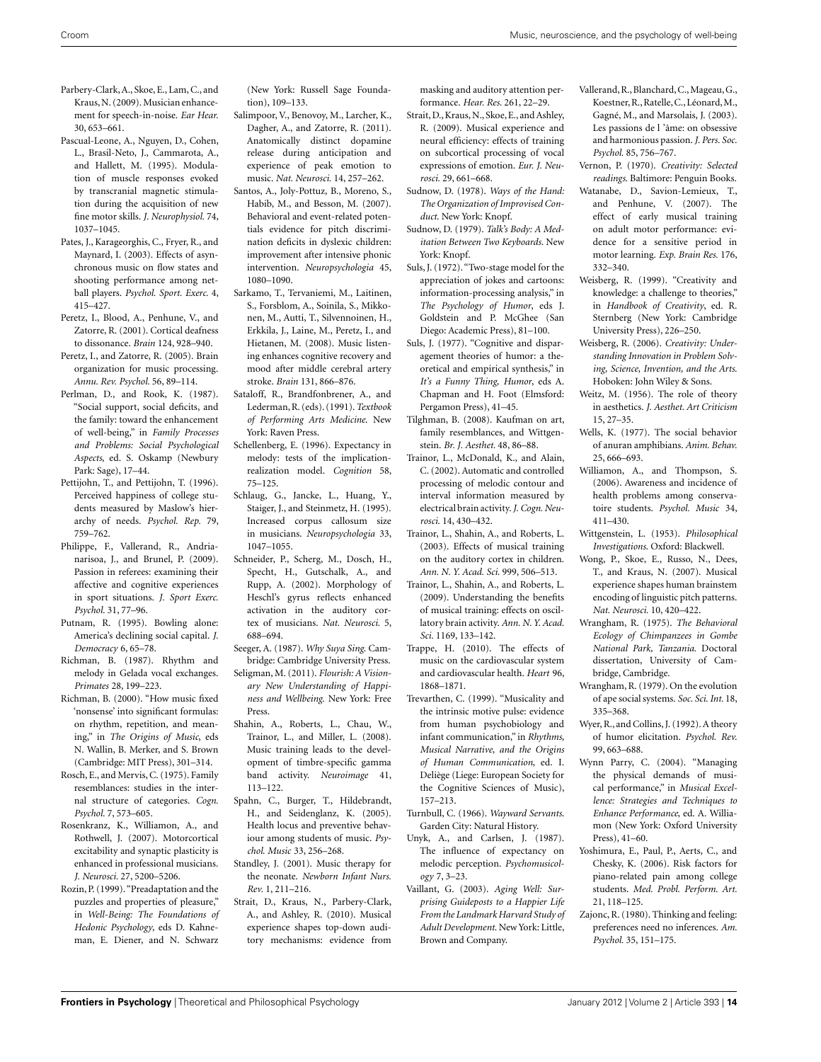- <span id="page-13-0"></span>Parbery-Clark,A., Skoe, E., Lam, C., and Kraus,N. (2009). Musician enhancement for speech-in-noise. *Ear Hear.* 30, 653–661.
- Pascual-Leone, A., Nguyen, D., Cohen, L., Brasil-Neto, J., Cammarota, A., and Hallett, M. (1995). Modulation of muscle responses evoked by transcranial magnetic stimulation during the acquisition of new fine motor skills. *J. Neurophysiol.* 74, 1037–1045.
- Pates, J., Karageorghis, C., Fryer, R., and Maynard, I. (2003). Effects of asynchronous music on flow states and shooting performance among netball players. *Psychol. Sport. Exerc.* 4, 415–427.
- Peretz, I., Blood, A., Penhune, V., and Zatorre, R. (2001). Cortical deafness to dissonance. *Brain* 124, 928–940.
- Peretz, I., and Zatorre, R. (2005). Brain organization for music processing. *Annu. Rev. Psychol.* 56, 89–114.
- Perlman, D., and Rook, K. (1987). "Social support, social deficits, and the family: toward the enhancement of well-being," in *Family Processes and Problems: Social Psychological Aspects*, ed. S. Oskamp (Newbury Park: Sage), 17–44.
- Pettijohn, T., and Pettijohn, T. (1996). Perceived happiness of college students measured by Maslow's hierarchy of needs. *Psychol. Rep.* 79, 759–762.
- Philippe, F., Vallerand, R., Andrianarisoa, J., and Brunel, P. (2009). Passion in referees: examining their affective and cognitive experiences in sport situations. *J. Sport Exerc. Psychol.* 31, 77–96.
- Putnam, R. (1995). Bowling alone: America's declining social capital. *J. Democracy* 6, 65–78.
- Richman, B. (1987). Rhythm and melody in Gelada vocal exchanges. *Primates* 28, 199–223.
- Richman, B. (2000). "How music fixed 'nonsense' into significant formulas: on rhythm, repetition, and meaning," in *The Origins of Music*, eds N. Wallin, B. Merker, and S. Brown (Cambridge: MIT Press), 301–314.
- Rosch, E., and Mervis, C. (1975). Family resemblances: studies in the internal structure of categories. *Cogn. Psychol.* 7, 573–605.
- Rosenkranz, K., Williamon, A., and Rothwell, J. (2007). Motorcortical excitability and synaptic plasticity is enhanced in professional musicians. *J. Neurosci.* 27, 5200–5206.
- Rozin, P. (1999)."Preadaptation and the puzzles and properties of pleasure," in *Well-Being: The Foundations of Hedonic Psychology*, eds D. Kahneman, E. Diener, and N. Schwarz

(New York: Russell Sage Foundation), 109–133.

- Salimpoor, V., Benovoy, M., Larcher, K., Dagher, A., and Zatorre, R. (2011). Anatomically distinct dopamine release during anticipation and experience of peak emotion to music. *Nat. Neurosci.* 14, 257–262.
- Santos, A., Joly-Pottuz, B., Moreno, S., Habib, M., and Besson, M. (2007). Behavioral and event-related potentials evidence for pitch discrimination deficits in dyslexic children: improvement after intensive phonic intervention. *Neuropsychologia* 45, 1080–1090.
- Sarkamo, T., Tervaniemi, M., Laitinen, S., Forsblom, A., Soinila, S., Mikkonen, M., Autti, T., Silvennoinen, H., Erkkila, J., Laine, M., Peretz, I., and Hietanen, M. (2008). Music listening enhances cognitive recovery and mood after middle cerebral artery stroke. *Brain* 131, 866–876.
- Sataloff, R., Brandfonbrener, A., and Lederman,R. (eds). (1991).*Textbook of Performing Arts Medicine*. New York: Raven Press.
- Schellenberg, E. (1996). Expectancy in melody: tests of the implicationrealization model. *Cognition* 58, 75–125.
- Schlaug, G., Jancke, L., Huang, Y., Staiger, J., and Steinmetz, H. (1995). Increased corpus callosum size in musicians. *Neuropsychologia* 33, 1047–1055.
- Schneider, P., Scherg, M., Dosch, H., Specht, H., Gutschalk, A., and Rupp, A. (2002). Morphology of Heschl's gyrus reflects enhanced activation in the auditory cortex of musicians. *Nat. Neurosci.* 5, 688–694.
- Seeger, A. (1987). *Why Suya Sing*. Cambridge: Cambridge University Press.
- Seligman, M. (2011). *Flourish: A Visionary New Understanding of Happiness and Wellbeing*. New York: Free Press.
- Shahin, A., Roberts, L., Chau, W., Trainor, L., and Miller, L. (2008). Music training leads to the development of timbre-specific gamma band activity. *Neuroimage* 41, 113–122.
- Spahn, C., Burger, T., Hildebrandt, H., and Seidenglanz, K. (2005). Health locus and preventive behaviour among students of music. *Psychol. Music* 33, 256–268.
- Standley, J. (2001). Music therapy for the neonate. *Newborn Infant Nurs. Rev.* 1, 211–216.
- Strait, D., Kraus, N., Parbery-Clark, A., and Ashley, R. (2010). Musical experience shapes top-down auditory mechanisms: evidence from

masking and auditory attention performance. *Hear. Res.* 261, 22–29.

- Strait, D.,Kraus, N., Skoe, E., and Ashley, R. (2009). Musical experience and neural efficiency: effects of training on subcortical processing of vocal expressions of emotion. *Eur. J. Neurosci.* 29, 661–668.
- Sudnow, D. (1978). *Ways of the Hand: The Organization of Improvised Conduct*. New York: Knopf.
- Sudnow, D. (1979). *Talk's Body: A Meditation Between Two Keyboards*. New York: Knopf.
- Suls, J. (1972). "Two-stage model for the appreciation of jokes and cartoons: information-processing analysis," in *The Psychology of Humor*, eds J. Goldstein and P. McGhee (San Diego: Academic Press), 81–100.
- Suls, J. (1977). "Cognitive and disparagement theories of humor: a theoretical and empirical synthesis," in *It's a Funny Thing, Humor*, eds A. Chapman and H. Foot (Elmsford: Pergamon Press), 41–45.
- Tilghman, B. (2008). Kaufman on art, family resemblances, and Wittgenstein. *Br. J. Aesthet.* 48, 86–88.
- Trainor, L., McDonald, K., and Alain, C. (2002). Automatic and controlled processing of melodic contour and interval information measured by electrical brain activity.*J. Cogn. Neurosci.* 14, 430–432.
- Trainor, L., Shahin, A., and Roberts, L. (2003). Effects of musical training on the auditory cortex in children. *Ann. N. Y. Acad. Sci.* 999, 506–513.
- Trainor, L., Shahin, A., and Roberts, L. (2009). Understanding the benefits of musical training: effects on oscillatory brain activity. *Ann. N. Y. Acad. Sci.* 1169, 133–142.
- Trappe, H. (2010). The effects of music on the cardiovascular system and cardiovascular health. *Heart* 96, 1868–1871.
- Trevarthen, C. (1999). "Musicality and the intrinsic motive pulse: evidence from human psychobiology and infant communication," in *Rhythms, Musical Narrative, and the Origins of Human Communication*, ed. I. Deliège (Liege: European Society for the Cognitive Sciences of Music), 157–213.
- Turnbull, C. (1966). *Wayward Servants*. Garden City: Natural History.
- Unyk, A., and Carlsen, J. (1987). The influence of expectancy on melodic perception. *Psychomusicology* 7, 3–23.
- Vaillant, G. (2003). *Aging Well: Surprising Guideposts to a Happier Life From the Landmark Harvard Study of Adult Development*. New York: Little, Brown and Company.
- Vallerand, R., Blanchard, C., Mageau, G., Koestner,R.,Ratelle,C., Léonard,M., Gagné, M., and Marsolais, J. (2003). Les passions de l 'âme: on obsessive and harmonious passion. *J. Pers. Soc. Psychol.* 85, 756–767.
- Vernon, P. (1970). *Creativity: Selected readings*. Baltimore: Penguin Books.
- Watanabe, D., Savion-Lemieux, T., and Penhune, V. (2007). The effect of early musical training on adult motor performance: evidence for a sensitive period in motor learning. *Exp. Brain Res.* 176, 332–340.
- Weisberg, R. (1999). "Creativity and knowledge: a challenge to theories," in *Handbook of Creativity*, ed. R. Sternberg (New York: Cambridge University Press), 226–250.
- Weisberg, R. (2006). *Creativity: Understanding Innovation in Problem Solving, Science, Invention, and the Arts*. Hoboken: John Wiley & Sons.
- Weitz, M. (1956). The role of theory in aesthetics. *J. Aesthet. Art Criticism* 15, 27–35.
- Wells, K. (1977). The social behavior of anuran amphibians. *Anim. Behav.* 25, 666–693.
- Williamon, A., and Thompson, S. (2006). Awareness and incidence of health problems among conservatoire students. *Psychol. Music* 34, 411–430.
- Wittgenstein, L. (1953). *Philosophical Investigations*. Oxford: Blackwell.
- Wong, P., Skoe, E., Russo, N., Dees, T., and Kraus, N. (2007). Musical experience shapes human brainstem encoding of linguistic pitch patterns. *Nat. Neurosci.* 10, 420–422.
- Wrangham, R. (1975). *The Behavioral Ecology of Chimpanzees in Gombe National Park, Tanzania*. Doctoral dissertation, University of Cambridge, Cambridge.
- Wrangham, R. (1979). On the evolution of ape social systems. *Soc. Sci. Int.* 18, 335–368.
- Wyer, R., and Collins, J. (1992). A theory of humor elicitation. *Psychol. Rev.* 99, 663–688.
- Wynn Parry, C. (2004). "Managing the physical demands of musical performance," in *Musical Excellence: Strategies and Techniques to Enhance Performance*, ed. A. Williamon (New York: Oxford University Press), 41–60.
- Yoshimura, E., Paul, P., Aerts, C., and Chesky, K. (2006). Risk factors for piano-related pain among college students. *Med. Probl. Perform. Art.* 21, 118–125.
- Zajonc, R. (1980). Thinking and feeling: preferences need no inferences. *Am. Psychol.* 35, 151–175.